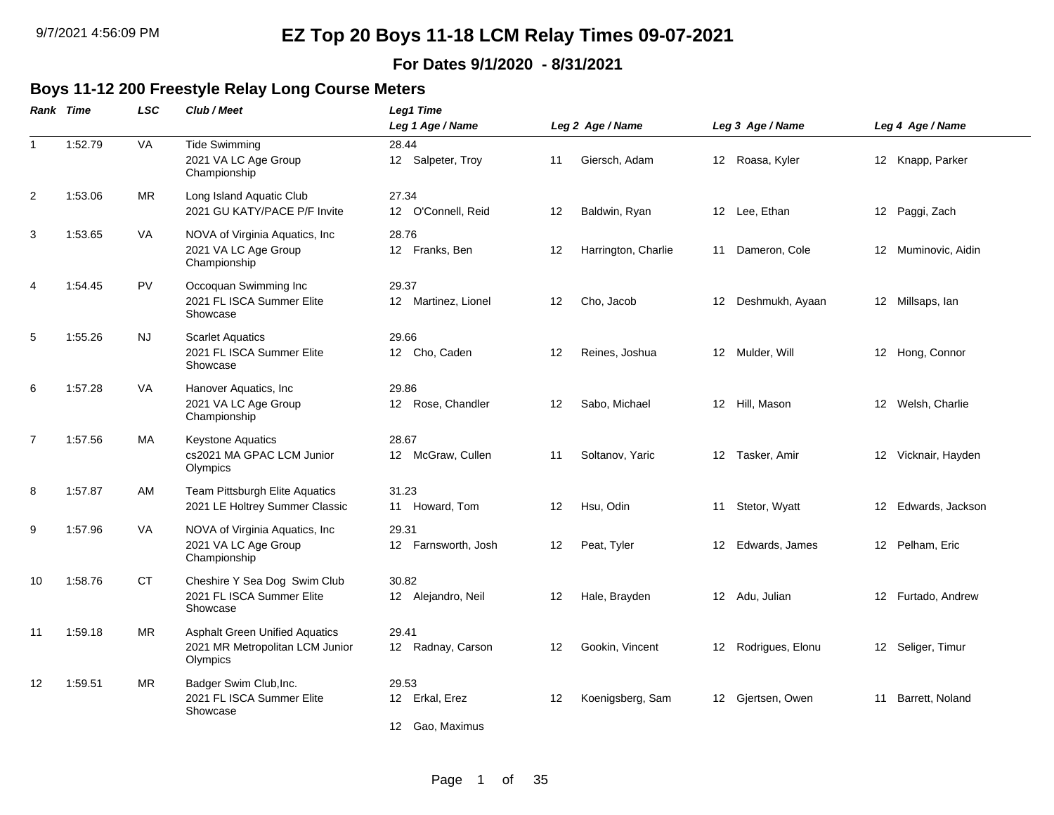#### **For Dates 9/1/2020 - 8/31/2021**

#### **Boys 11-12 200 Freestyle Relay Long Course Meters**

| Rank Time | <b>LSC</b> | Club / Meet                                                                          | Leg1 Time                    |                                              |                     |                  |                  |                                                                                                                                                                                                                                            |                     |
|-----------|------------|--------------------------------------------------------------------------------------|------------------------------|----------------------------------------------|---------------------|------------------|------------------|--------------------------------------------------------------------------------------------------------------------------------------------------------------------------------------------------------------------------------------------|---------------------|
|           |            |                                                                                      |                              |                                              |                     |                  |                  |                                                                                                                                                                                                                                            | Leg 4 Age / Name    |
|           |            | 2021 VA LC Age Group<br>Championship                                                 | 12 Salpeter, Troy            | 11                                           | Giersch, Adam       |                  |                  |                                                                                                                                                                                                                                            | 12 Knapp, Parker    |
| 1:53.06   | <b>MR</b>  | Long Island Aquatic Club<br>2021 GU KATY/PACE P/F Invite                             | 27.34<br>12 O'Connell, Reid  | 12                                           | Baldwin, Ryan       |                  |                  |                                                                                                                                                                                                                                            | 12 Paggi, Zach      |
| 1:53.65   | VA         | NOVA of Virginia Aquatics, Inc<br>2021 VA LC Age Group<br>Championship               | 28.76<br>12 Franks, Ben      | 12                                           | Harrington, Charlie |                  |                  |                                                                                                                                                                                                                                            | 12 Muminovic, Aidin |
| 1:54.45   | PV         | Occoquan Swimming Inc<br>2021 FL ISCA Summer Elite<br>Showcase                       | 29.37<br>12 Martinez, Lionel | 12                                           | Cho, Jacob          |                  |                  |                                                                                                                                                                                                                                            | 12 Millsaps, lan    |
| 1:55.26   | <b>NJ</b>  | <b>Scarlet Aquatics</b><br>2021 FL ISCA Summer Elite<br>Showcase                     | 29.66<br>12 Cho, Caden       | 12                                           | Reines, Joshua      |                  |                  |                                                                                                                                                                                                                                            | 12 Hong, Connor     |
| 1:57.28   | VA         | Hanover Aquatics, Inc<br>2021 VA LC Age Group<br>Championship                        | 29.86<br>12 Rose, Chandler   | 12                                           | Sabo, Michael       |                  |                  |                                                                                                                                                                                                                                            | 12 Welsh, Charlie   |
| 1:57.56   | MA         | Keystone Aquatics<br>cs2021 MA GPAC LCM Junior<br>Olympics                           | 28.67<br>12 McGraw, Cullen   | 11                                           | Soltanov, Yaric     |                  |                  |                                                                                                                                                                                                                                            | 12 Vicknair, Hayden |
| 1:57.87   | AM         | Team Pittsburgh Elite Aquatics<br>2021 LE Holtrey Summer Classic                     | 31.23<br>11 Howard, Tom      | 12                                           | Hsu, Odin           |                  |                  | 12                                                                                                                                                                                                                                         | Edwards, Jackson    |
| 1:57.96   | <b>VA</b>  | NOVA of Virginia Aquatics, Inc<br>2021 VA LC Age Group<br>Championship               | 29.31<br>12 Farnsworth, Josh | 12                                           | Peat, Tyler         |                  |                  |                                                                                                                                                                                                                                            | 12 Pelham, Eric     |
| 1:58.76   | <b>CT</b>  | Cheshire Y Sea Dog Swim Club<br>2021 FL ISCA Summer Elite<br>Showcase                | 30.82<br>12 Alejandro, Neil  | 12                                           | Hale, Brayden       |                  |                  |                                                                                                                                                                                                                                            | 12 Furtado, Andrew  |
| 1:59.18   | <b>MR</b>  | <b>Asphalt Green Unified Aquatics</b><br>2021 MR Metropolitan LCM Junior<br>Olympics | 29.41<br>12 Radnay, Carson   | 12                                           | Gookin, Vincent     |                  | Rodrigues, Elonu |                                                                                                                                                                                                                                            | 12 Seliger, Timur   |
| 1:59.51   | MR.        | Badger Swim Club, Inc.<br>2021 FL ISCA Summer Elite<br>Showcase                      | 29.53<br>12 Erkal, Erez      | 12                                           | Koenigsberg, Sam    |                  | Gjertsen, Owen   |                                                                                                                                                                                                                                            | 11 Barrett, Noland  |
|           | 1:52.79    | <b>VA</b>                                                                            | <b>Tide Swimming</b>         | Leg 1 Age / Name<br>28.44<br>12 Gao, Maximus |                     | Leg 2 Age / Name |                  | Leg 3 Age / Name<br>12 Roasa, Kyler<br>12 Lee, Ethan<br>11 Dameron, Cole<br>12 Deshmukh, Ayaan<br>12 Mulder, Will<br>12 Hill, Mason<br>12 Tasker, Amir<br>11 Stetor, Wyatt<br>12 Edwards, James<br>12 Adu, Julian<br>12 <sup>2</sup><br>12 |                     |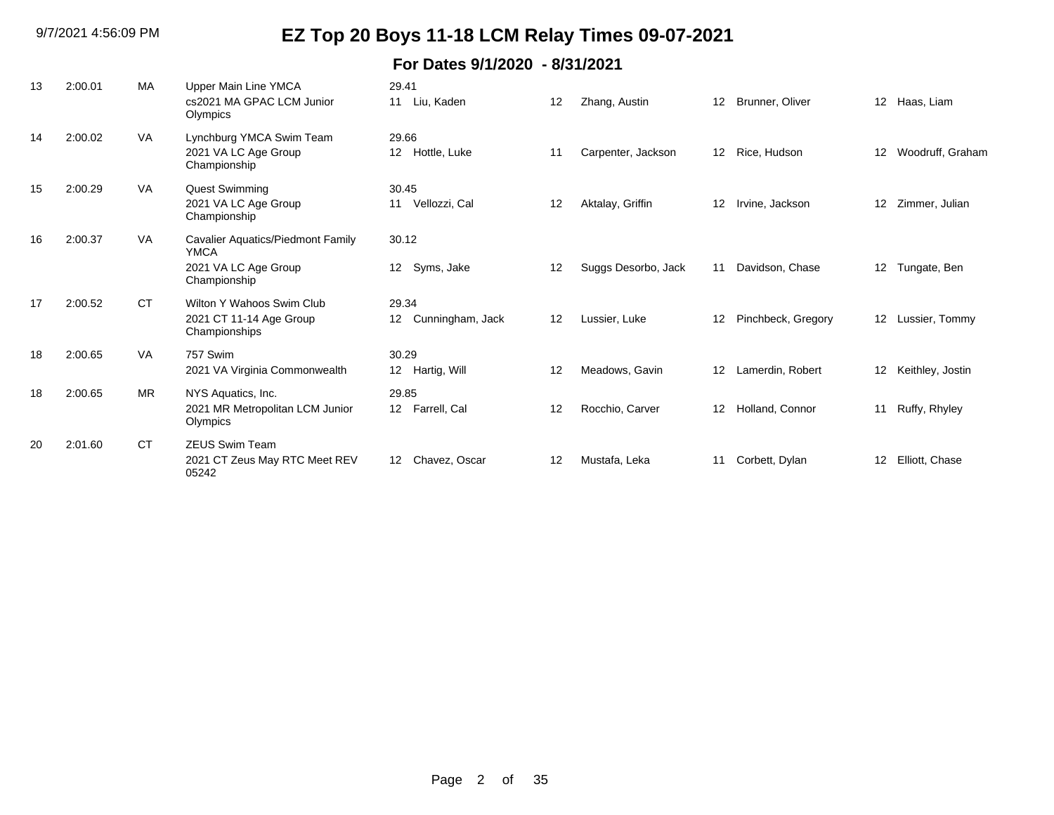| 13 | 2:00.01 | <b>MA</b> | Upper Main Line YMCA<br>cs2021 MA GPAC LCM Junior<br>Olympics                            | 29.41<br>Liu, Kaden<br>11                    | 12 | Zhang, Austin       | 12 <sup>2</sup> | Brunner, Oliver    | 12 <sup>2</sup>   | Haas, Liam       |
|----|---------|-----------|------------------------------------------------------------------------------------------|----------------------------------------------|----|---------------------|-----------------|--------------------|-------------------|------------------|
| 14 | 2:00.02 | VA        | Lynchburg YMCA Swim Team<br>2021 VA LC Age Group<br>Championship                         | 29.66<br>Hottle, Luke<br>12 <sup>12</sup>    | 11 | Carpenter, Jackson  | 12 <sup>2</sup> | Rice, Hudson       | $12 \overline{ }$ | Woodruff, Graham |
| 15 | 2:00.29 | VA        | <b>Quest Swimming</b><br>2021 VA LC Age Group<br>Championship                            | 30.45<br>Vellozzi, Cal<br>11                 | 12 | Aktalay, Griffin    | $12 \,$         | Irvine, Jackson    | $12 \overline{ }$ | Zimmer, Julian   |
| 16 | 2:00.37 | <b>VA</b> | Cavalier Aquatics/Piedmont Family<br><b>YMCA</b><br>2021 VA LC Age Group<br>Championship | 30.12<br>Syms, Jake<br>12                    | 12 | Suggs Desorbo, Jack | 11              | Davidson, Chase    | 12 <sup>2</sup>   | Tungate, Ben     |
| 17 | 2:00.52 | <b>CT</b> | Wilton Y Wahoos Swim Club<br>2021 CT 11-14 Age Group<br>Championships                    | 29.34<br>Cunningham, Jack<br>12 <sup>°</sup> | 12 | Lussier, Luke       | 12              | Pinchbeck, Gregory | 12 <sup>2</sup>   | Lussier, Tommy   |
| 18 | 2:00.65 | VA        | 757 Swim<br>2021 VA Virginia Commonwealth                                                | 30.29<br>12<br>Hartig, Will                  | 12 | Meadows, Gavin      | $12 \,$         | Lamerdin, Robert   | $12 \overline{ }$ | Keithley, Jostin |
| 18 | 2:00.65 | <b>MR</b> | NYS Aquatics, Inc.<br>2021 MR Metropolitan LCM Junior<br>Olympics                        | 29.85<br>12 Farrell, Cal                     | 12 | Rocchio, Carver     | 12              | Holland, Connor    | 11                | Ruffy, Rhyley    |
| 20 | 2:01.60 | <b>CT</b> | <b>ZEUS Swim Team</b><br>2021 CT Zeus May RTC Meet REV<br>05242                          | Chavez, Oscar<br>12                          | 12 | Mustafa, Leka       | 11              | Corbett, Dylan     | 12                | Elliott, Chase   |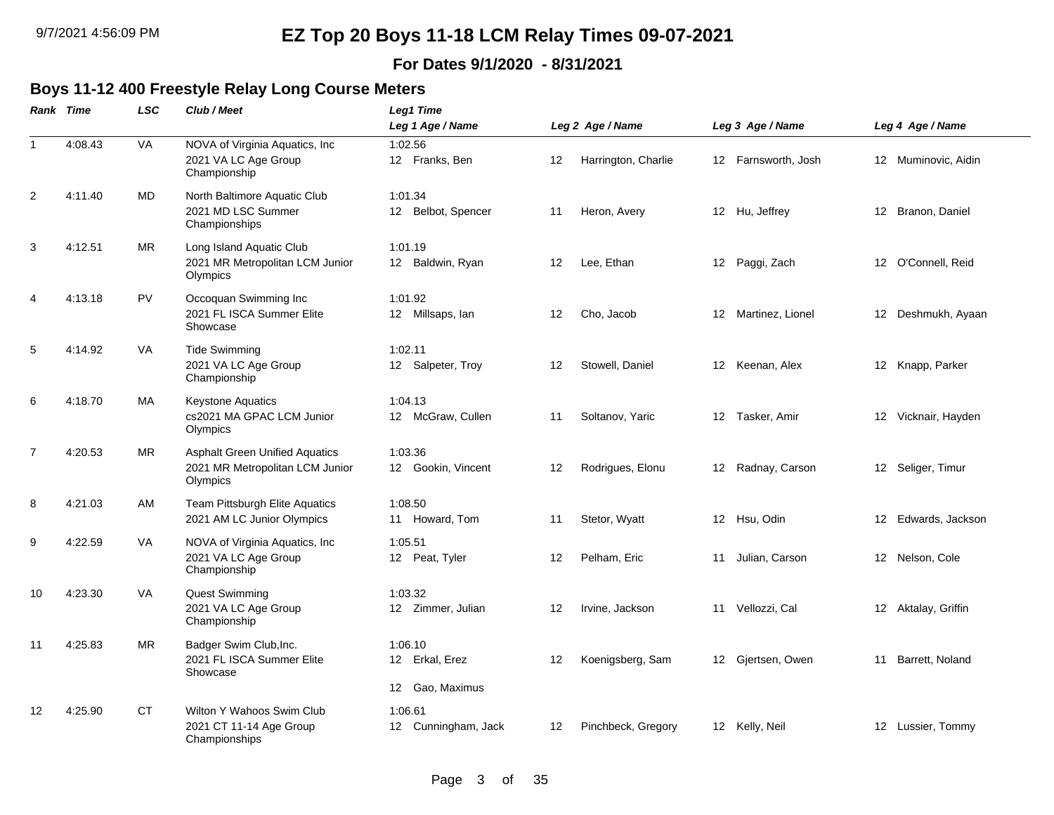#### **For Dates 9/1/2020 - 8/31/2021**

#### **Boys 11-12 400 Freestyle Relay Long Course Meters**

|                | Rank Time | <b>LSC</b> | Club / Meet                                                                          | Leg1 Time                                       |    |                     |    |                     |    |                     |
|----------------|-----------|------------|--------------------------------------------------------------------------------------|-------------------------------------------------|----|---------------------|----|---------------------|----|---------------------|
|                |           |            |                                                                                      | Leg 1 Age / Name                                |    | Leg 2 Age / Name    |    | Leg 3 Age / Name    |    | Leg 4 Age / Name    |
| $\mathbf{1}$   | 4:08.43   | VA         | NOVA of Virginia Aquatics, Inc<br>2021 VA LC Age Group<br>Championship               | 1:02.56<br>12 Franks, Ben                       | 12 | Harrington, Charlie |    | 12 Farnsworth, Josh |    | 12 Muminovic, Aidin |
| 2              | 4:11.40   | MD         | North Baltimore Aquatic Club<br>2021 MD LSC Summer<br>Championships                  | 1:01.34<br>12 Belbot, Spencer                   | 11 | Heron, Avery        |    | 12 Hu, Jeffrey      |    | 12 Branon, Daniel   |
| 3              | 4:12.51   | MR.        | Long Island Aquatic Club<br>2021 MR Metropolitan LCM Junior<br>Olympics              | 1:01.19<br>12 Baldwin, Ryan                     | 12 | Lee, Ethan          |    | 12 Paggi, Zach      |    | 12 O'Connell, Reid  |
| 4              | 4:13.18   | PV         | Occoquan Swimming Inc<br>2021 FL ISCA Summer Elite<br>Showcase                       | 1:01.92<br>12 Millsaps, lan                     | 12 | Cho, Jacob          |    | 12 Martinez, Lionel |    | 12 Deshmukh, Ayaan  |
| 5              | 4:14.92   | VA         | <b>Tide Swimming</b><br>2021 VA LC Age Group<br>Championship                         | 1:02.11<br>12 Salpeter, Troy                    | 12 | Stowell, Daniel     |    | 12 Keenan, Alex     |    | 12 Knapp, Parker    |
| 6              | 4:18.70   | МA         | <b>Keystone Aquatics</b><br>cs2021 MA GPAC LCM Junior<br>Olympics                    | 1:04.13<br>12 McGraw, Cullen                    | 11 | Soltanov, Yaric     |    | 12 Tasker, Amir     |    | 12 Vicknair, Hayden |
| $\overline{7}$ | 4:20.53   | <b>MR</b>  | <b>Asphalt Green Unified Aquatics</b><br>2021 MR Metropolitan LCM Junior<br>Olympics | 1:03.36<br>12 Gookin, Vincent                   | 12 | Rodrigues, Elonu    |    | 12 Radnay, Carson   |    | 12 Seliger, Timur   |
| 8              | 4:21.03   | AM         | Team Pittsburgh Elite Aquatics<br>2021 AM LC Junior Olympics                         | 1:08.50<br>11 Howard, Tom                       | 11 | Stetor, Wyatt       |    | 12 Hsu, Odin        | 12 | Edwards, Jackson    |
| 9              | 4:22.59   | VA         | NOVA of Virginia Aquatics, Inc<br>2021 VA LC Age Group<br>Championship               | 1:05.51<br>12 Peat, Tyler                       | 12 | Pelham, Eric        | 11 | Julian, Carson      |    | 12 Nelson, Cole     |
| 10             | 4:23.30   | VA         | Quest Swimming<br>2021 VA LC Age Group<br>Championship                               | 1:03.32<br>12 Zimmer, Julian                    | 12 | Irvine, Jackson     |    | 11 Vellozzi, Cal    |    | 12 Aktalay, Griffin |
| 11             | 4:25.83   | MR.        | Badger Swim Club, Inc.<br>2021 FL ISCA Summer Elite<br>Showcase                      | 1:06.10<br>12 Erkal, Erez<br>Gao, Maximus<br>12 | 12 | Koenigsberg, Sam    |    | 12 Gjertsen, Owen   |    | 11 Barrett, Noland  |
| 12             | 4:25.90   | СT         | Wilton Y Wahoos Swim Club<br>2021 CT 11-14 Age Group<br>Championships                | 1:06.61<br>12 Cunningham, Jack                  | 12 | Pinchbeck, Gregory  |    | 12 Kelly, Neil      |    | 12 Lussier, Tommy   |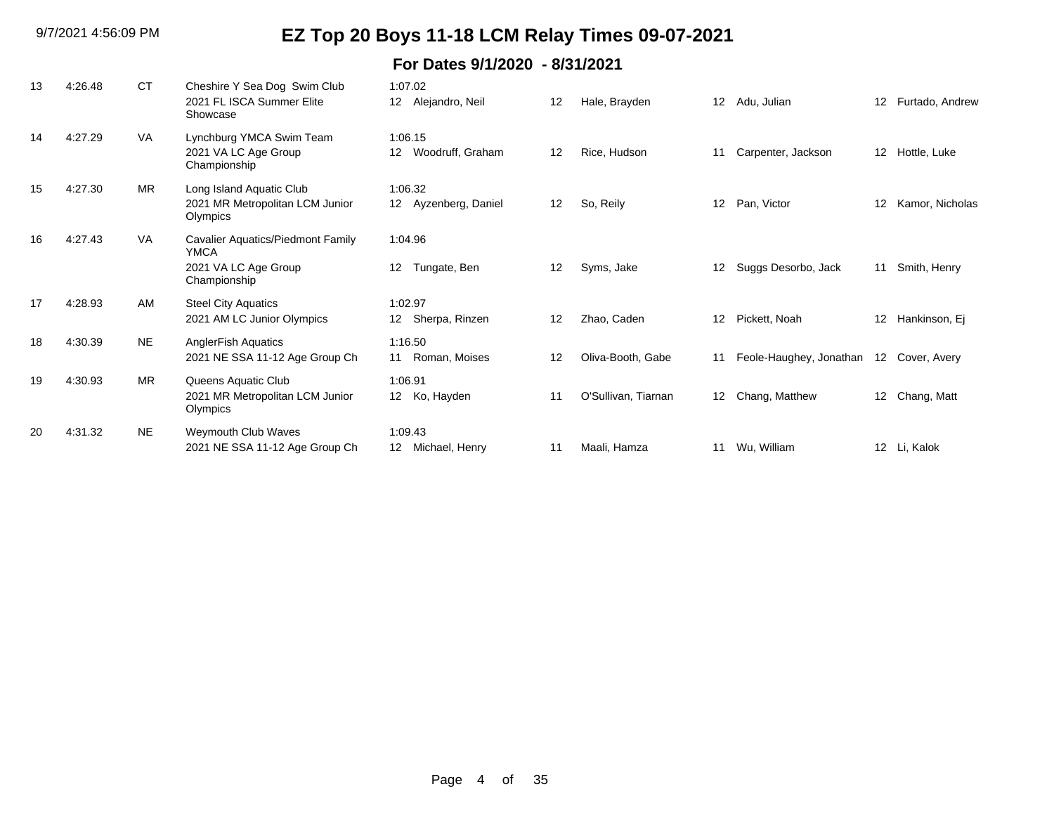| 13 | 4:26.48 | <b>CT</b> | Cheshire Y Sea Dog Swim Club<br>2021 FL ISCA Summer Elite<br>Showcase                           | 1:07.02<br>12 <sup>2</sup><br>Alejandro, Neil  | 12 | Hale, Brayden       | $12 \overline{ }$ | Adu, Julian             | 12 <sup>2</sup> | Furtado, Andrew |
|----|---------|-----------|-------------------------------------------------------------------------------------------------|------------------------------------------------|----|---------------------|-------------------|-------------------------|-----------------|-----------------|
| 14 | 4:27.29 | VA        | Lynchburg YMCA Swim Team<br>2021 VA LC Age Group<br>Championship                                | 1:06.15<br>Woodruff, Graham<br>12 <sup>2</sup> | 12 | Rice, Hudson        | 11                | Carpenter, Jackson      | 12 <sup>°</sup> | Hottle, Luke    |
| 15 | 4:27.30 | <b>MR</b> | Long Island Aquatic Club<br>2021 MR Metropolitan LCM Junior<br>Olympics                         | 1:06.32<br>12 Ayzenberg, Daniel                | 12 | So, Reily           | $12 \overline{ }$ | Pan, Victor             | 12 <sup>°</sup> | Kamor, Nicholas |
| 16 | 4:27.43 | VA        | <b>Cavalier Aquatics/Piedmont Family</b><br><b>YMCA</b><br>2021 VA LC Age Group<br>Championship | 1:04.96<br>Tungate, Ben<br>12 <sup>12</sup>    | 12 | Syms, Jake          | 12                | Suggs Desorbo, Jack     | 11              | Smith, Henry    |
| 17 | 4:28.93 | AM        | <b>Steel City Aquatics</b><br>2021 AM LC Junior Olympics                                        | 1:02.97<br>Sherpa, Rinzen<br>12                | 12 | Zhao, Caden         | 12                | Pickett, Noah           | 12 <sup>°</sup> | Hankinson, Ej   |
| 18 | 4:30.39 | <b>NE</b> | <b>AnglerFish Aquatics</b><br>2021 NE SSA 11-12 Age Group Ch                                    | 1:16.50<br>Roman, Moises<br>11                 | 12 | Oliva-Booth, Gabe   | 11                | Feole-Haughey, Jonathan |                 | 12 Cover, Avery |
| 19 | 4:30.93 | <b>MR</b> | Queens Aquatic Club<br>2021 MR Metropolitan LCM Junior<br>Olympics                              | 1:06.91<br>12 Ko, Hayden                       | 11 | O'Sullivan, Tiarnan | 12                | Chang, Matthew          | 12 <sup>°</sup> | Chang, Matt     |
| 20 | 4:31.32 | <b>NE</b> | Weymouth Club Waves<br>2021 NE SSA 11-12 Age Group Ch                                           | 1:09.43<br>Michael, Henry<br>12                | 11 | Maali, Hamza        | 11                | Wu, William             |                 | 12 Li, Kalok    |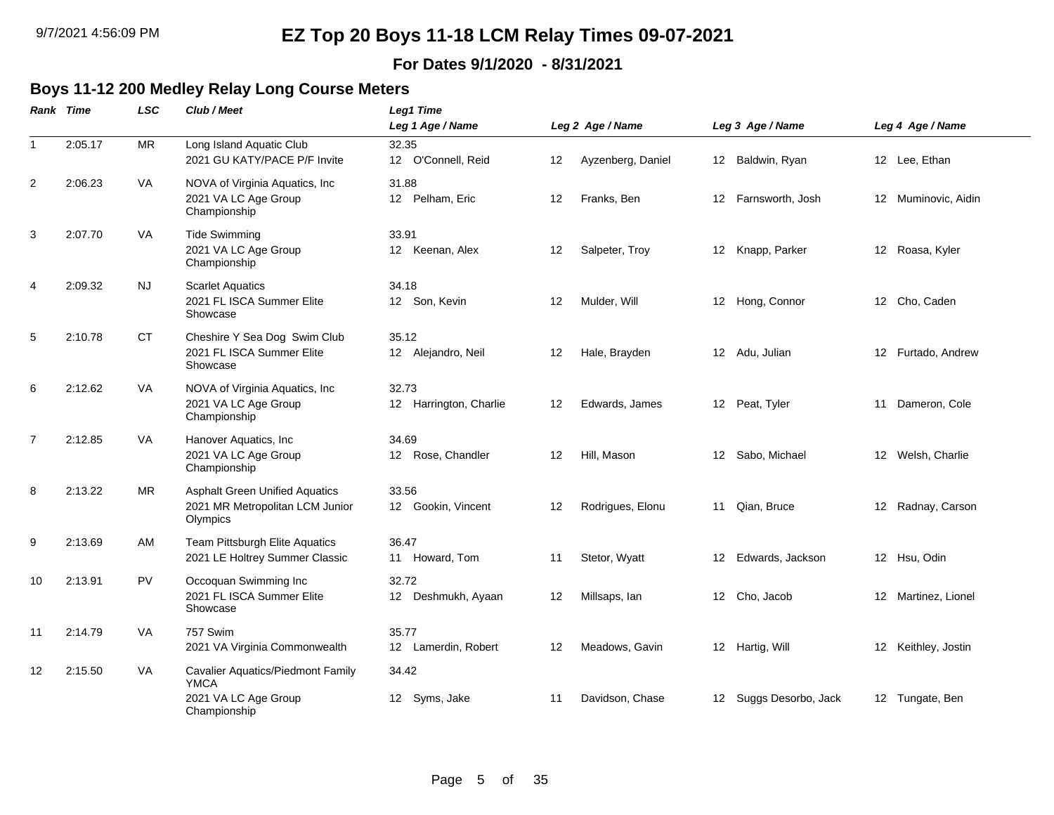#### **For Dates 9/1/2020 - 8/31/2021**

### **Boys 11-12 200 Medley Relay Long Course Meters**

|              | <b>Rank Time</b> | <b>LSC</b> | Club / Meet                                                                              | <b>Leg1 Time</b><br>Leg 1 Age / Name |    | Leg 2 Age / Name  |    | Leg 3 Age / Name       |    | Leg 4 Age / Name    |
|--------------|------------------|------------|------------------------------------------------------------------------------------------|--------------------------------------|----|-------------------|----|------------------------|----|---------------------|
| $\mathbf{1}$ | 2:05.17          | <b>MR</b>  | Long Island Aquatic Club<br>2021 GU KATY/PACE P/F Invite                                 | 32.35<br>12 O'Connell, Reid          | 12 | Ayzenberg, Daniel |    | 12 Baldwin, Ryan       |    | 12 Lee, Ethan       |
| 2            | 2:06.23          | <b>VA</b>  | NOVA of Virginia Aquatics, Inc.<br>2021 VA LC Age Group<br>Championship                  | 31.88<br>12 Pelham, Eric             | 12 | Franks, Ben       |    | 12 Farnsworth, Josh    |    | 12 Muminovic, Aidin |
| 3            | 2:07.70          | VA         | <b>Tide Swimming</b><br>2021 VA LC Age Group<br>Championship                             | 33.91<br>12 Keenan, Alex             | 12 | Salpeter, Troy    |    | 12 Knapp, Parker       |    | 12 Roasa, Kyler     |
| 4            | 2:09.32          | NJ.        | <b>Scarlet Aquatics</b><br>2021 FL ISCA Summer Elite<br>Showcase                         | 34.18<br>12 Son, Kevin               | 12 | Mulder, Will      |    | 12 Hong, Connor        |    | 12 Cho, Caden       |
| 5            | 2:10.78          | <b>CT</b>  | Cheshire Y Sea Dog Swim Club<br>2021 FL ISCA Summer Elite<br>Showcase                    | 35.12<br>12 Alejandro, Neil          | 12 | Hale, Brayden     |    | 12 Adu, Julian         |    | 12 Furtado, Andrew  |
| 6            | 2:12.62          | VA         | NOVA of Virginia Aquatics, Inc<br>2021 VA LC Age Group<br>Championship                   | 32.73<br>12 Harrington, Charlie      | 12 | Edwards, James    |    | 12 Peat, Tyler         | 11 | Dameron, Cole       |
| 7            | 2:12.85          | <b>VA</b>  | Hanover Aquatics, Inc<br>2021 VA LC Age Group<br>Championship                            | 34.69<br>12 Rose, Chandler           | 12 | Hill, Mason       |    | 12 Sabo, Michael       |    | 12 Welsh, Charlie   |
| 8            | 2:13.22          | <b>MR</b>  | <b>Asphalt Green Unified Aquatics</b><br>2021 MR Metropolitan LCM Junior<br>Olympics     | 33.56<br>12 Gookin, Vincent          | 12 | Rodrigues, Elonu  |    | 11 Qian, Bruce         |    | 12 Radnay, Carson   |
| 9            | 2:13.69          | AM         | Team Pittsburgh Elite Aquatics<br>2021 LE Holtrey Summer Classic                         | 36.47<br>11 Howard, Tom              | 11 | Stetor, Wyatt     | 12 | Edwards, Jackson       |    | 12 Hsu, Odin        |
| 10           | 2:13.91          | <b>PV</b>  | Occoquan Swimming Inc<br>2021 FL ISCA Summer Elite<br>Showcase                           | 32.72<br>12 Deshmukh, Ayaan          | 12 | Millsaps, lan     |    | 12 Cho, Jacob          |    | 12 Martinez, Lionel |
| 11           | 2:14.79          | VA         | 757 Swim<br>2021 VA Virginia Commonwealth                                                | 35.77<br>12 Lamerdin, Robert         | 12 | Meadows, Gavin    |    | 12 Hartig, Will        |    | 12 Keithley, Jostin |
| 12           | 2:15.50          | VA         | Cavalier Aquatics/Piedmont Family<br><b>YMCA</b><br>2021 VA LC Age Group<br>Championship | 34.42<br>12 Syms, Jake               | 11 | Davidson, Chase   |    | 12 Suggs Desorbo, Jack |    | 12 Tungate, Ben     |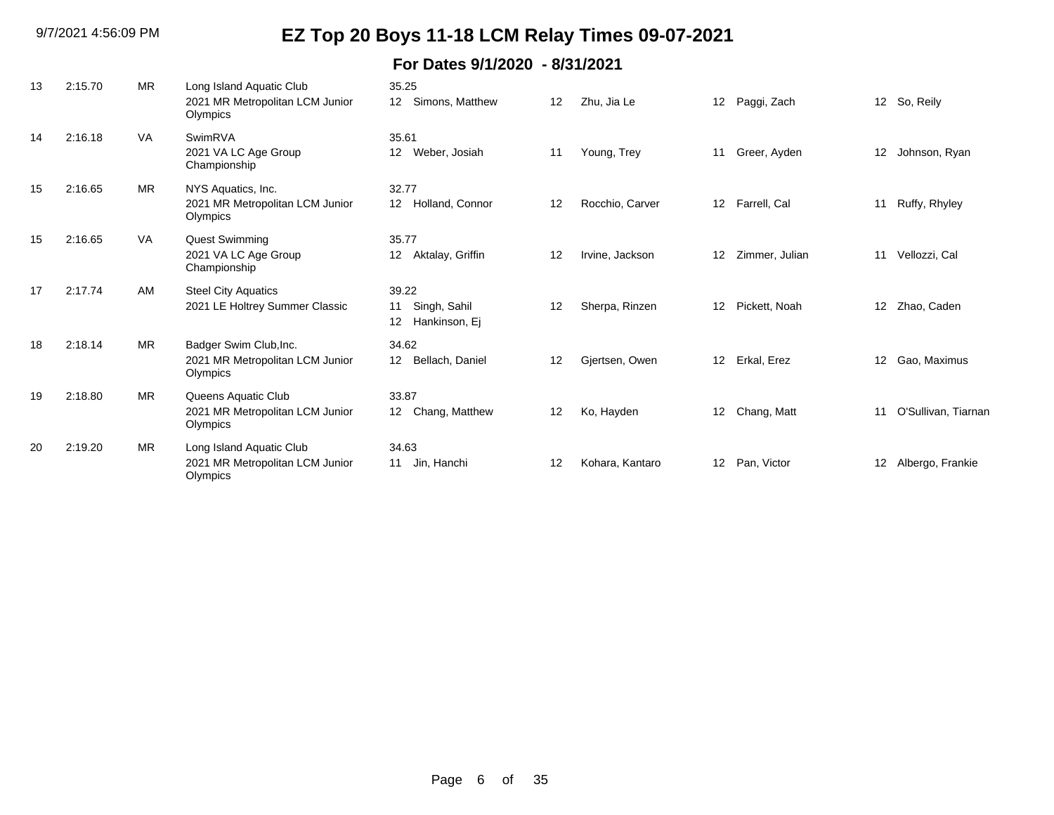| 13 | 2:15.70 | <b>MR</b> | Long Island Aquatic Club<br>2021 MR Metropolitan LCM Junior<br>Olympics | 35.25<br>Simons, Matthew<br>12 <sup>2</sup>                       | 12 | Zhu, Jia Le     | 12                | Paggi, Zach    | 12 <sup>12</sup> | So, Reily           |
|----|---------|-----------|-------------------------------------------------------------------------|-------------------------------------------------------------------|----|-----------------|-------------------|----------------|------------------|---------------------|
| 14 | 2:16.18 | VA        | SwimRVA<br>2021 VA LC Age Group<br>Championship                         | 35.61<br>Weber, Josiah<br>12 <sup>°</sup>                         | 11 | Young, Trey     | 11                | Greer, Ayden   | 12               | Johnson, Ryan       |
| 15 | 2:16.65 | <b>MR</b> | NYS Aquatics, Inc.<br>2021 MR Metropolitan LCM Junior<br>Olympics       | 32.77<br>Holland, Connor<br>12 <sup>1</sup>                       | 12 | Rocchio, Carver | $12 \overline{ }$ | Farrell, Cal   | 11               | Ruffy, Rhyley       |
| 15 | 2:16.65 | <b>VA</b> | Quest Swimming<br>2021 VA LC Age Group<br>Championship                  | 35.77<br>Aktalay, Griffin<br>12 <sup>2</sup>                      | 12 | Irvine, Jackson | 12                | Zimmer, Julian | 11               | Vellozzi, Cal       |
| 17 | 2:17.74 | AM        | <b>Steel City Aquatics</b><br>2021 LE Holtrey Summer Classic            | 39.22<br>Singh, Sahil<br>11<br>Hankinson, Ej<br>$12 \overline{ }$ | 12 | Sherpa, Rinzen  | 12                | Pickett, Noah  | 12 <sup>2</sup>  | Zhao, Caden         |
| 18 | 2:18.14 | <b>MR</b> | Badger Swim Club, Inc.<br>2021 MR Metropolitan LCM Junior<br>Olympics   | 34.62<br>Bellach, Daniel<br>12 <sup>2</sup>                       | 12 | Gjertsen, Owen  | 12                | Erkal, Erez    | 12               | Gao, Maximus        |
| 19 | 2:18.80 | <b>MR</b> | Queens Aquatic Club<br>2021 MR Metropolitan LCM Junior<br>Olympics      | 33.87<br>Chang, Matthew<br>12                                     | 12 | Ko, Hayden      | 12                | Chang, Matt    | 11               | O'Sullivan, Tiarnan |
| 20 | 2:19.20 | <b>MR</b> | Long Island Aquatic Club<br>2021 MR Metropolitan LCM Junior<br>Olympics | 34.63<br>Jin, Hanchi<br>11                                        | 12 | Kohara, Kantaro | 12                | Pan, Victor    | 12               | Albergo, Frankie    |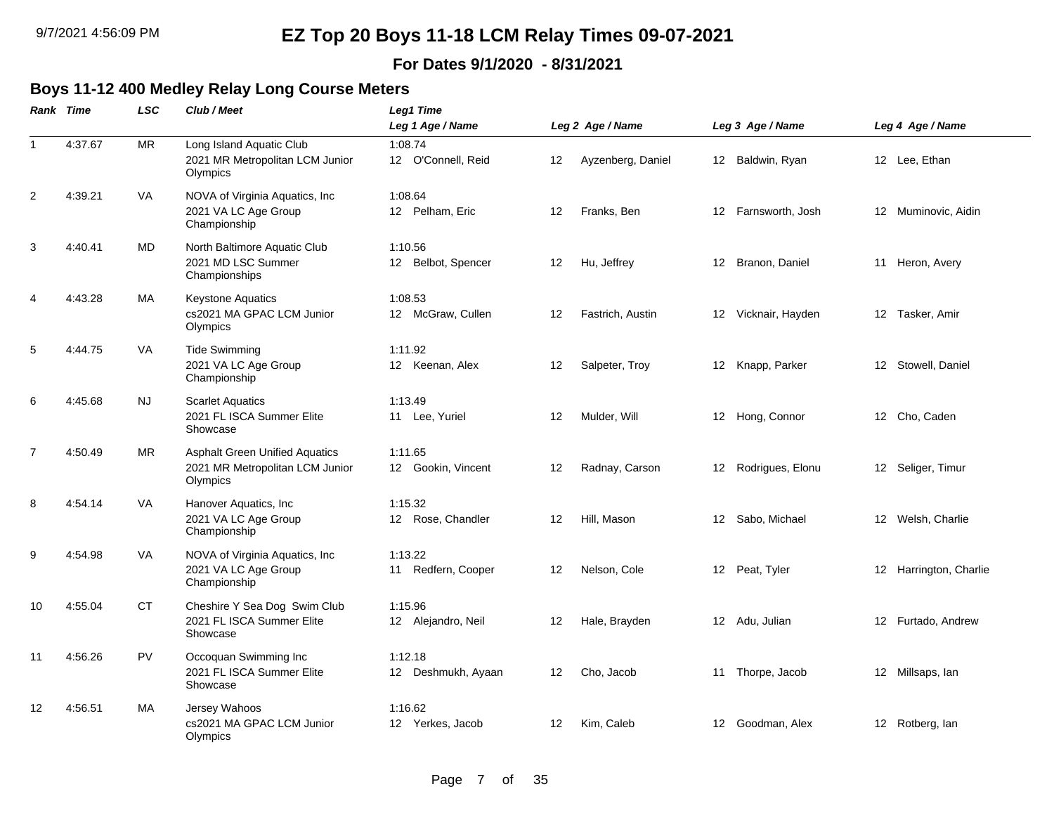#### **For Dates 9/1/2020 - 8/31/2021**

 $\overline{\phantom{0}}$ 

### **Boys 11-12 400 Medley Relay Long Course Meters**

|                | Rank Time | <b>LSC</b> | Club / Meet                                                                          | Leg1 Time                                     |    |                   |    |                     |                        |
|----------------|-----------|------------|--------------------------------------------------------------------------------------|-----------------------------------------------|----|-------------------|----|---------------------|------------------------|
|                |           |            |                                                                                      | Leg 1 Age / Name                              |    | Leg 2 Age / Name  |    | Leg 3 Age / Name    | Leg 4 Age / Name       |
| $\overline{1}$ | 4:37.67   | MR         | Long Island Aquatic Club<br>2021 MR Metropolitan LCM Junior<br>Olympics              | 1:08.74<br>12 O'Connell, Reid                 | 12 | Ayzenberg, Daniel |    | 12 Baldwin, Ryan    | 12 Lee, Ethan          |
| 2              | 4:39.21   | VA         | NOVA of Virginia Aquatics, Inc.<br>2021 VA LC Age Group<br>Championship              | 1:08.64<br>12 Pelham, Eric                    | 12 | Franks, Ben       |    | 12 Farnsworth, Josh | 12 Muminovic, Aidin    |
| $\mathbf{3}$   | 4:40.41   | <b>MD</b>  | North Baltimore Aquatic Club<br>2021 MD LSC Summer<br>Championships                  | 1:10.56<br>Belbot, Spencer<br>12 <sup>2</sup> | 12 | Hu, Jeffrey       |    | 12 Branon, Daniel   | 11 Heron, Avery        |
| $\overline{4}$ | 4:43.28   | МA         | <b>Keystone Aquatics</b><br>cs2021 MA GPAC LCM Junior<br>Olympics                    | 1:08.53<br>12 McGraw, Cullen                  | 12 | Fastrich, Austin  |    | 12 Vicknair, Hayden | 12 Tasker, Amir        |
| 5              | 4:44.75   | VA         | <b>Tide Swimming</b><br>2021 VA LC Age Group<br>Championship                         | 1:11.92<br>12 Keenan, Alex                    | 12 | Salpeter, Troy    |    | 12 Knapp, Parker    | 12 Stowell, Daniel     |
| 6              | 4:45.68   | NJ         | <b>Scarlet Aquatics</b><br>2021 FL ISCA Summer Elite<br>Showcase                     | 1:13.49<br>11 Lee, Yuriel                     | 12 | Mulder, Will      |    | 12 Hong, Connor     | 12 Cho, Caden          |
| $\overline{7}$ | 4:50.49   | <b>MR</b>  | <b>Asphalt Green Unified Aquatics</b><br>2021 MR Metropolitan LCM Junior<br>Olympics | 1:11.65<br>12 Gookin, Vincent                 | 12 | Radnay, Carson    |    | 12 Rodrigues, Elonu | 12 Seliger, Timur      |
| 8              | 4:54.14   | VA         | Hanover Aquatics, Inc<br>2021 VA LC Age Group<br>Championship                        | 1:15.32<br>12 Rose, Chandler                  | 12 | Hill, Mason       |    | 12 Sabo, Michael    | 12 Welsh, Charlie      |
| 9              | 4:54.98   | VA         | NOVA of Virginia Aquatics, Inc<br>2021 VA LC Age Group<br>Championship               | 1:13.22<br>11 Redfern, Cooper                 | 12 | Nelson, Cole      |    | 12 Peat, Tyler      | 12 Harrington, Charlie |
| 10             | 4:55.04   | <b>CT</b>  | Cheshire Y Sea Dog Swim Club<br>2021 FL ISCA Summer Elite<br>Showcase                | 1:15.96<br>12 Alejandro, Neil                 | 12 | Hale, Brayden     |    | 12 Adu, Julian      | 12 Furtado, Andrew     |
| 11             | 4:56.26   | <b>PV</b>  | Occoquan Swimming Inc<br>2021 FL ISCA Summer Elite<br>Showcase                       | 1:12.18<br>12 Deshmukh, Ayaan                 | 12 | Cho, Jacob        | 11 | Thorpe, Jacob       | 12 Millsaps, Ian       |
| 12             | 4:56.51   | МA         | Jersey Wahoos<br>cs2021 MA GPAC LCM Junior<br>Olympics                               | 1:16.62<br>12 Yerkes, Jacob                   | 12 | Kim, Caleb        |    | 12 Goodman, Alex    | 12 Rotberg, lan        |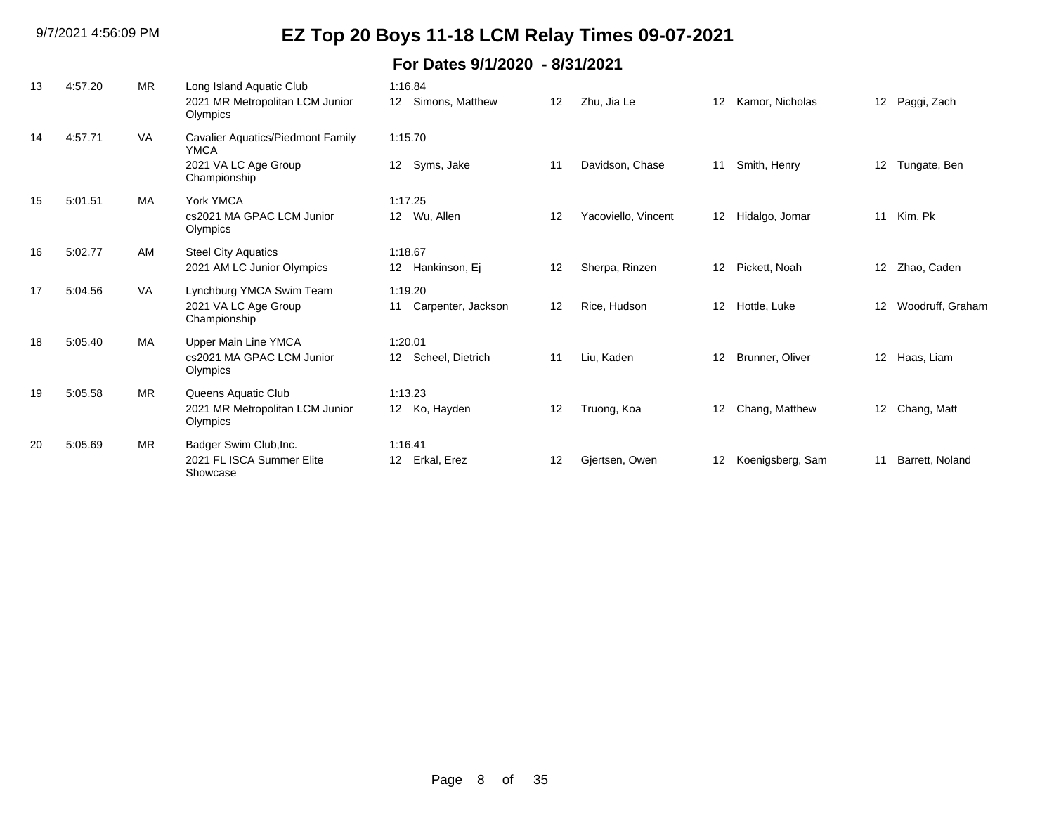| 13 | 4:57.20 | <b>MR</b> | Long Island Aquatic Club<br>2021 MR Metropolitan LCM Junior<br>Olympics | 1:16.84<br>Simons, Matthew<br>12 <sup>12</sup> | 12 | Zhu, Jia Le         | 12 | Kamor, Nicholas  | 12 <sup>2</sup>  | Paggi, Zach      |
|----|---------|-----------|-------------------------------------------------------------------------|------------------------------------------------|----|---------------------|----|------------------|------------------|------------------|
| 14 | 4:57.71 | <b>VA</b> | Cavalier Aquatics/Piedmont Family<br><b>YMCA</b>                        | 1:15.70                                        |    |                     |    |                  |                  |                  |
|    |         |           | 2021 VA LC Age Group<br>Championship                                    | Syms, Jake<br>12                               | 11 | Davidson, Chase     | 11 | Smith, Henry     | 12               | Tungate, Ben     |
| 15 | 5:01.51 | MA        | York YMCA                                                               | 1:17.25                                        |    |                     |    |                  |                  |                  |
|    |         |           | cs2021 MA GPAC LCM Junior<br>Olympics                                   | 12 Wu, Allen                                   | 12 | Yacoviello, Vincent | 12 | Hidalgo, Jomar   | 11               | Kim, Pk          |
| 16 | 5:02.77 | AM        | <b>Steel City Aquatics</b>                                              | 1:18.67                                        |    |                     |    |                  |                  |                  |
|    |         |           | 2021 AM LC Junior Olympics                                              | 12 <sup>1</sup><br>Hankinson, Ej               | 12 | Sherpa, Rinzen      | 12 | Pickett, Noah    | 12 <sup>12</sup> | Zhao, Caden      |
| 17 | 5:04.56 | VA.       | Lynchburg YMCA Swim Team                                                | 1:19.20                                        |    |                     |    |                  |                  |                  |
|    |         |           | 2021 VA LC Age Group<br>Championship                                    | Carpenter, Jackson<br>11                       | 12 | Rice, Hudson        | 12 | Hottle, Luke     | 12               | Woodruff, Graham |
| 18 | 5:05.40 | <b>MA</b> | Upper Main Line YMCA                                                    | 1:20.01                                        |    |                     |    |                  |                  |                  |
|    |         |           | cs2021 MA GPAC LCM Junior<br>Olympics                                   | Scheel, Dietrich<br>12 <sup>1</sup>            | 11 | Liu, Kaden          | 12 | Brunner, Oliver  | 12 <sup>2</sup>  | Haas, Liam       |
| 19 | 5:05.58 | <b>MR</b> | Queens Aquatic Club                                                     | 1:13.23                                        |    |                     |    |                  |                  |                  |
|    |         |           | 2021 MR Metropolitan LCM Junior<br>Olympics                             | Ko, Hayden<br>12 <sup>12</sup>                 | 12 | Truong, Koa         | 12 | Chang, Matthew   | 12               | Chang, Matt      |
| 20 | 5:05.69 | <b>MR</b> | Badger Swim Club, Inc.                                                  | 1:16.41                                        |    |                     |    |                  |                  |                  |
|    |         |           | 2021 FL ISCA Summer Elite<br>Showcase                                   | Erkal, Erez<br>12 <sup>°</sup>                 | 12 | Gjertsen, Owen      | 12 | Koenigsberg, Sam | 11               | Barrett, Noland  |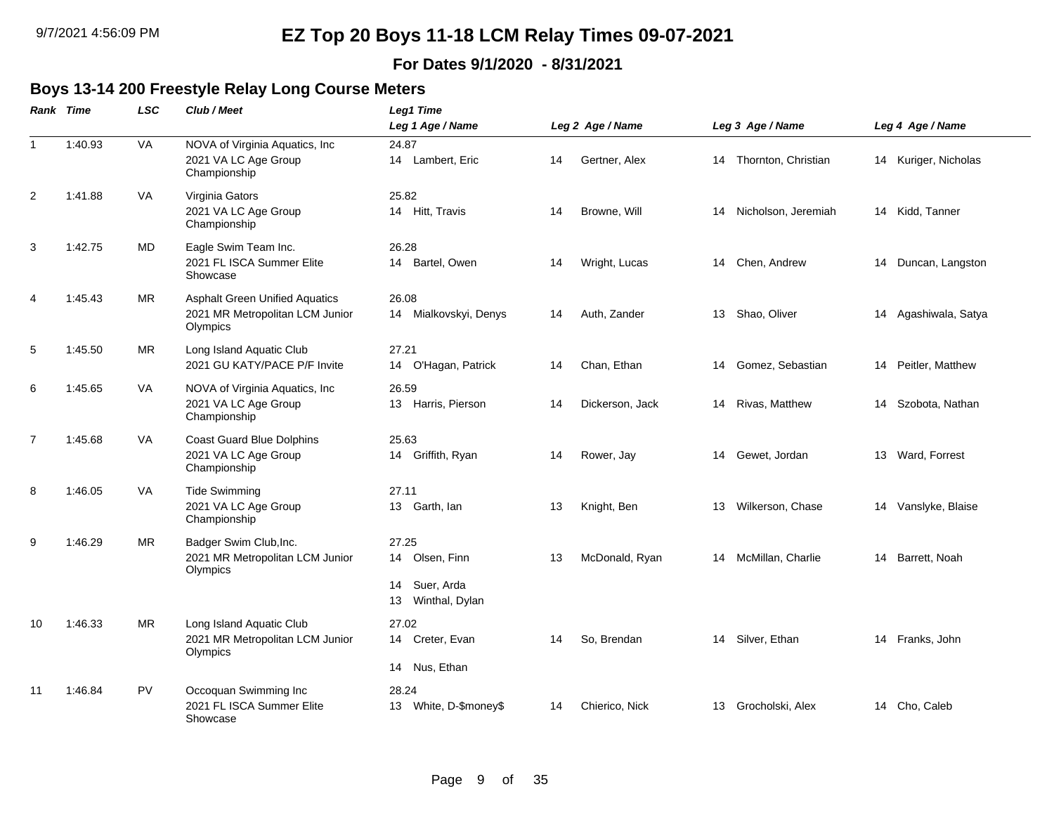#### **For Dates 9/1/2020 - 8/31/2021**

#### **Boys 13-14 200 Freestyle Relay Long Course Meters**

|                  | Rank Time | <b>LSC</b> | Club / Meet                                                                          | Leg1 Time                                                           |    |                  |                           |                      |
|------------------|-----------|------------|--------------------------------------------------------------------------------------|---------------------------------------------------------------------|----|------------------|---------------------------|----------------------|
|                  |           |            |                                                                                      | Leg 1 Age / Name                                                    |    | Leg 2 Age / Name | Leg 3 Age / Name          | Leg 4 Age / Name     |
| $\mathbf{1}$     | 1:40.93   | VA         | NOVA of Virginia Aquatics, Inc<br>2021 VA LC Age Group<br>Championship               | 24.87<br>14 Lambert, Eric                                           | 14 | Gertner, Alex    | Thornton, Christian<br>14 | 14 Kuriger, Nicholas |
| $\boldsymbol{2}$ | 1:41.88   | VA         | Virginia Gators<br>2021 VA LC Age Group<br>Championship                              | 25.82<br>14 Hitt, Travis                                            | 14 | Browne, Will     | Nicholson, Jeremiah<br>14 | 14 Kidd, Tanner      |
| 3                | 1:42.75   | MD         | Eagle Swim Team Inc.<br>2021 FL ISCA Summer Elite<br>Showcase                        | 26.28<br>14 Bartel, Owen                                            | 14 | Wright, Lucas    | 14 Chen, Andrew           | 14 Duncan, Langston  |
| 4                | 1:45.43   | <b>MR</b>  | <b>Asphalt Green Unified Aquatics</b><br>2021 MR Metropolitan LCM Junior<br>Olympics | 26.08<br>14 Mialkovskyi, Denys                                      | 14 | Auth, Zander     | 13 Shao, Oliver           | 14 Agashiwala, Satya |
| 5                | 1:45.50   | <b>MR</b>  | Long Island Aquatic Club<br>2021 GU KATY/PACE P/F Invite                             | 27.21<br>14 O'Hagan, Patrick                                        | 14 | Chan, Ethan      | 14 Gomez, Sebastian       | 14 Peitler, Matthew  |
| 6                | 1:45.65   | VA         | NOVA of Virginia Aquatics, Inc<br>2021 VA LC Age Group<br>Championship               | 26.59<br>13 Harris, Pierson                                         | 14 | Dickerson, Jack  | Rivas, Matthew<br>14      | 14 Szobota, Nathan   |
| $\overline{7}$   | 1:45.68   | <b>VA</b>  | <b>Coast Guard Blue Dolphins</b><br>2021 VA LC Age Group<br>Championship             | 25.63<br>14 Griffith, Ryan                                          | 14 | Rower, Jay       | 14 Gewet, Jordan          | 13 Ward, Forrest     |
| 8                | 1:46.05   | <b>VA</b>  | <b>Tide Swimming</b><br>2021 VA LC Age Group<br>Championship                         | 27.11<br>13 Garth, lan                                              | 13 | Knight, Ben      | Wilkerson, Chase<br>13    | 14 Vanslyke, Blaise  |
| 9                | 1:46.29   | <b>MR</b>  | Badger Swim Club, Inc.<br>2021 MR Metropolitan LCM Junior<br>Olympics                | 27.25<br>14 Olsen, Finn<br>Suer, Arda<br>14<br>Winthal, Dylan<br>13 | 13 | McDonald, Ryan   | McMillan, Charlie<br>14   | Barrett, Noah<br>14  |
| 10               | 1:46.33   | <b>MR</b>  | Long Island Aquatic Club<br>2021 MR Metropolitan LCM Junior<br>Olympics              | 27.02<br>14 Creter, Evan<br>Nus, Ethan<br>14                        | 14 | So, Brendan      | Silver, Ethan<br>14       | 14 Franks, John      |
| 11               | 1:46.84   | <b>PV</b>  | Occoquan Swimming Inc<br>2021 FL ISCA Summer Elite<br>Showcase                       | 28.24<br>13 White, D-\$money\$                                      | 14 | Chierico, Nick   | Grocholski, Alex<br>13    | 14 Cho, Caleb        |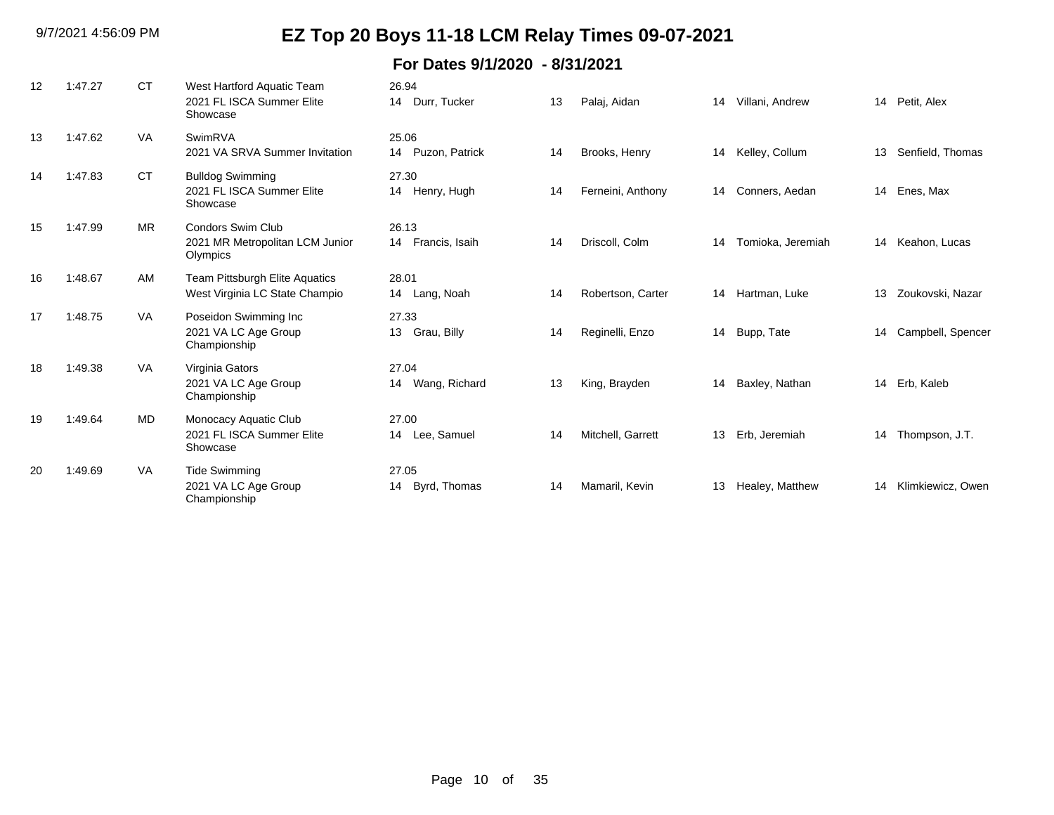| 12 | 1:47.27 | <b>CT</b> | West Hartford Aquatic Team<br>2021 FL ISCA Summer Elite<br>Showcase     | 26.94<br>14 Durr, Tucker    | 13 | Palaj, Aidan      | 14 | Villani, Andrew   |    | 14 Petit, Alex    |
|----|---------|-----------|-------------------------------------------------------------------------|-----------------------------|----|-------------------|----|-------------------|----|-------------------|
| 13 | 1:47.62 | <b>VA</b> | SwimRVA<br>2021 VA SRVA Summer Invitation                               | 25.06<br>14 Puzon, Patrick  | 14 | Brooks, Henry     | 14 | Kelley, Collum    | 13 | Senfield, Thomas  |
| 14 | 1:47.83 | <b>CT</b> | <b>Bulldog Swimming</b><br>2021 FL ISCA Summer Elite<br>Showcase        | 27.30<br>14 Henry, Hugh     | 14 | Ferneini, Anthony | 14 | Conners, Aedan    |    | 14 Enes, Max      |
| 15 | 1:47.99 | <b>MR</b> | <b>Condors Swim Club</b><br>2021 MR Metropolitan LCM Junior<br>Olympics | 26.13<br>14 Francis, Isaih  | 14 | Driscoll, Colm    | 14 | Tomioka, Jeremiah |    | 14 Keahon, Lucas  |
| 16 | 1:48.67 | AM        | <b>Team Pittsburgh Elite Aquatics</b><br>West Virginia LC State Champio | 28.01<br>14 Lang, Noah      | 14 | Robertson, Carter | 14 | Hartman, Luke     | 13 | Zoukovski, Nazar  |
| 17 | 1:48.75 | <b>VA</b> | Poseidon Swimming Inc<br>2021 VA LC Age Group<br>Championship           | 27.33<br>Grau, Billy<br>13  | 14 | Reginelli, Enzo   | 14 | Bupp, Tate        | 14 | Campbell, Spencer |
| 18 | 1:49.38 | VA        | Virginia Gators<br>2021 VA LC Age Group<br>Championship                 | 27.04<br>14 Wang, Richard   | 13 | King, Brayden     | 14 | Baxley, Nathan    |    | 14 Erb, Kaleb     |
| 19 | 1:49.64 | MD.       | Monocacy Aquatic Club<br>2021 FL ISCA Summer Elite<br>Showcase          | 27.00<br>14 Lee, Samuel     | 14 | Mitchell, Garrett | 13 | Erb, Jeremiah     |    | 14 Thompson, J.T. |
| 20 | 1:49.69 | <b>VA</b> | <b>Tide Swimming</b><br>2021 VA LC Age Group<br>Championship            | 27.05<br>Byrd, Thomas<br>14 | 14 | Mamaril, Kevin    | 13 | Healey, Matthew   | 14 | Klimkiewicz, Owen |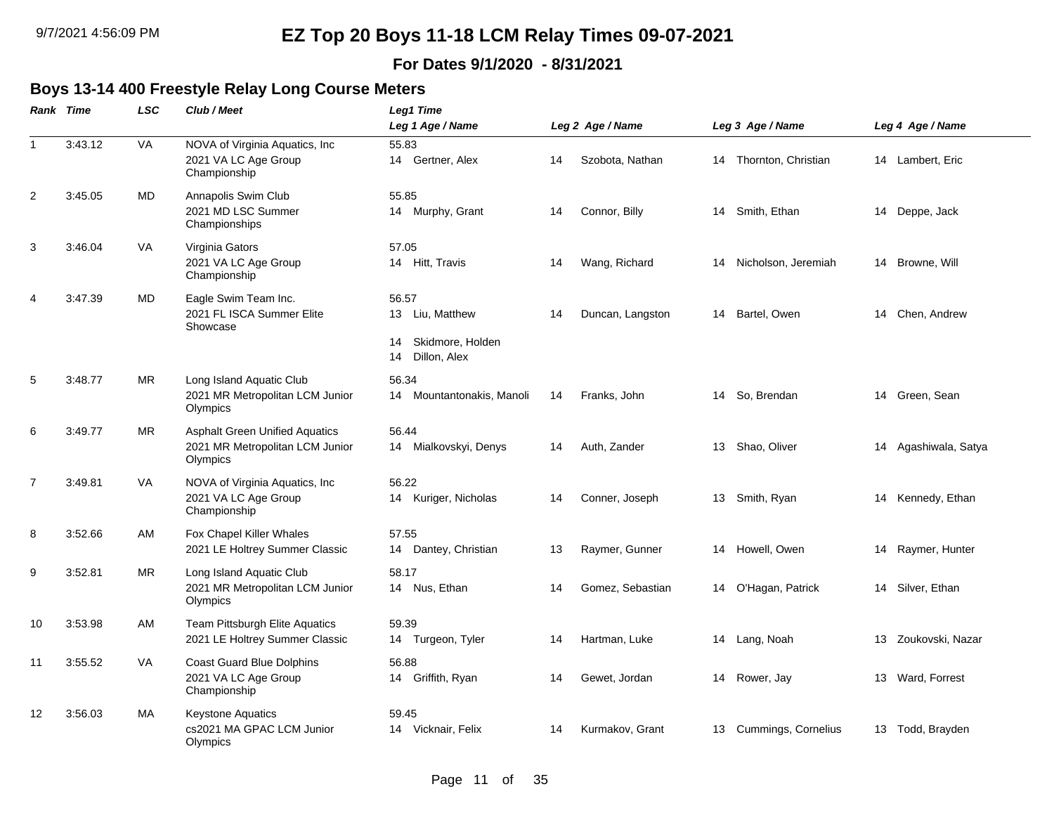#### **For Dates 9/1/2020 - 8/31/2021**

### **Boys 13-14 400 Freestyle Relay Long Course Meters**

|              | <b>Rank Time</b> | <b>LSC</b> | Club / Meet                                                                          | Leg1 Time                                                                |    |                  |                        |    |                      |
|--------------|------------------|------------|--------------------------------------------------------------------------------------|--------------------------------------------------------------------------|----|------------------|------------------------|----|----------------------|
|              |                  |            |                                                                                      | Leg 1 Age / Name                                                         |    | Leg 2 Age / Name | Leg 3 Age / Name       |    | Leg 4 Age / Name     |
| $\mathbf{1}$ | 3:43.12          | VA         | NOVA of Virginia Aquatics, Inc<br>2021 VA LC Age Group<br>Championship               | 55.83<br>14 Gertner, Alex                                                | 14 | Szobota, Nathan  | 14 Thornton, Christian |    | 14 Lambert, Eric     |
| 2            | 3:45.05          | MD         | Annapolis Swim Club<br>2021 MD LSC Summer<br>Championships                           | 55.85<br>14 Murphy, Grant                                                | 14 | Connor, Billy    | 14 Smith, Ethan        |    | 14 Deppe, Jack       |
| 3            | 3:46.04          | <b>VA</b>  | Virginia Gators<br>2021 VA LC Age Group<br>Championship                              | 57.05<br>14 Hitt, Travis                                                 | 14 | Wang, Richard    | 14 Nicholson, Jeremiah |    | 14 Browne, Will      |
| 4            | 3:47.39          | <b>MD</b>  | Eagle Swim Team Inc.<br>2021 FL ISCA Summer Elite<br>Showcase                        | 56.57<br>13 Liu, Matthew<br>Skidmore, Holden<br>14<br>Dillon, Alex<br>14 | 14 | Duncan, Langston | 14 Bartel, Owen        |    | 14 Chen, Andrew      |
| 5            | 3:48.77          | <b>MR</b>  | Long Island Aquatic Club<br>2021 MR Metropolitan LCM Junior<br>Olympics              | 56.34<br>Mountantonakis, Manoli<br>14                                    | 14 | Franks, John     | 14 So, Brendan         |    | 14 Green, Sean       |
| 6            | 3:49.77          | MR.        | <b>Asphalt Green Unified Aquatics</b><br>2021 MR Metropolitan LCM Junior<br>Olympics | 56.44<br>14 Mialkovskyi, Denys                                           | 14 | Auth, Zander     | 13 Shao, Oliver        |    | 14 Agashiwala, Satya |
| 7            | 3:49.81          | <b>VA</b>  | NOVA of Virginia Aquatics, Inc.<br>2021 VA LC Age Group<br>Championship              | 56.22<br>14 Kuriger, Nicholas                                            | 14 | Conner, Joseph   | 13 Smith, Ryan         |    | 14 Kennedy, Ethan    |
| 8            | 3:52.66          | AM         | Fox Chapel Killer Whales<br>2021 LE Holtrey Summer Classic                           | 57.55<br>14 Dantey, Christian                                            | 13 | Raymer, Gunner   | 14 Howell, Owen        |    | 14 Raymer, Hunter    |
| 9            | 3:52.81          | <b>MR</b>  | Long Island Aquatic Club<br>2021 MR Metropolitan LCM Junior<br>Olympics              | 58.17<br>14 Nus, Ethan                                                   | 14 | Gomez, Sebastian | 14 O'Hagan, Patrick    |    | 14 Silver, Ethan     |
| 10           | 3:53.98          | AM         | Team Pittsburgh Elite Aquatics<br>2021 LE Holtrey Summer Classic                     | 59.39<br>14 Turgeon, Tyler                                               | 14 | Hartman, Luke    | 14 Lang, Noah          | 13 | Zoukovski, Nazar     |
| 11           | 3:55.52          | VA         | <b>Coast Guard Blue Dolphins</b><br>2021 VA LC Age Group<br>Championship             | 56.88<br>14<br>Griffith, Ryan                                            | 14 | Gewet, Jordan    | 14 Rower, Jay          |    | 13 Ward, Forrest     |
| 12           | 3:56.03          | МA         | <b>Keystone Aquatics</b><br>cs2021 MA GPAC LCM Junior<br>Olympics                    | 59.45<br>Vicknair, Felix<br>14                                           | 14 | Kurmakov, Grant  | 13 Cummings, Cornelius |    | 13 Todd, Brayden     |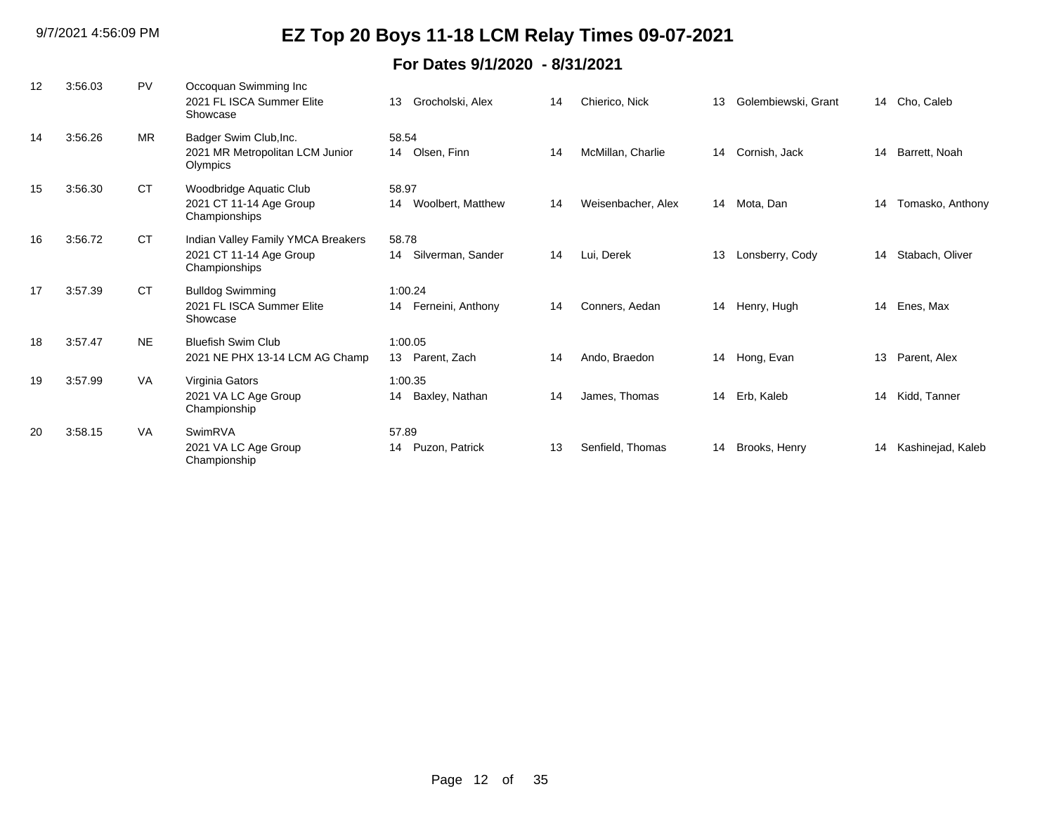| 12 | 3:56.03 | PV        | Occoquan Swimming Inc<br>2021 FL ISCA Summer Elite<br>Showcase                 | Grocholski, Alex<br>13             | 14 | Chierico, Nick     | 13 | Golembiewski, Grant | 14 | Cho, Caleb        |
|----|---------|-----------|--------------------------------------------------------------------------------|------------------------------------|----|--------------------|----|---------------------|----|-------------------|
| 14 | 3:56.26 | <b>MR</b> | Badger Swim Club, Inc.<br>2021 MR Metropolitan LCM Junior<br>Olympics          | 58.54<br>14 Olsen, Finn            | 14 | McMillan, Charlie  | 14 | Cornish, Jack       | 14 | Barrett, Noah     |
| 15 | 3:56.30 | <b>CT</b> | Woodbridge Aquatic Club<br>2021 CT 11-14 Age Group<br>Championships            | 58.97<br>Woolbert, Matthew<br>14   | 14 | Weisenbacher, Alex | 14 | Mota, Dan           | 14 | Tomasko, Anthony  |
| 16 | 3:56.72 | <b>CT</b> | Indian Valley Family YMCA Breakers<br>2021 CT 11-14 Age Group<br>Championships | 58.78<br>Silverman, Sander<br>14   | 14 | Lui, Derek         | 13 | Lonsberry, Cody     | 14 | Stabach, Oliver   |
| 17 | 3:57.39 | <b>CT</b> | <b>Bulldog Swimming</b><br>2021 FL ISCA Summer Elite<br>Showcase               | 1:00.24<br>Ferneini, Anthony<br>14 | 14 | Conners, Aedan     | 14 | Henry, Hugh         | 14 | Enes, Max         |
| 18 | 3:57.47 | <b>NE</b> | <b>Bluefish Swim Club</b><br>2021 NE PHX 13-14 LCM AG Champ                    | 1:00.05<br>13 Parent, Zach         | 14 | Ando, Braedon      | 14 | Hong, Evan          | 13 | Parent, Alex      |
| 19 | 3:57.99 | <b>VA</b> | Virginia Gators<br>2021 VA LC Age Group<br>Championship                        | 1:00.35<br>Baxley, Nathan<br>14    | 14 | James, Thomas      | 14 | Erb, Kaleb          |    | 14 Kidd, Tanner   |
| 20 | 3:58.15 | <b>VA</b> | SwimRVA<br>2021 VA LC Age Group<br>Championship                                | 57.89<br>Puzon, Patrick<br>14      | 13 | Senfield, Thomas   | 14 | Brooks, Henry       | 14 | Kashinejad, Kaleb |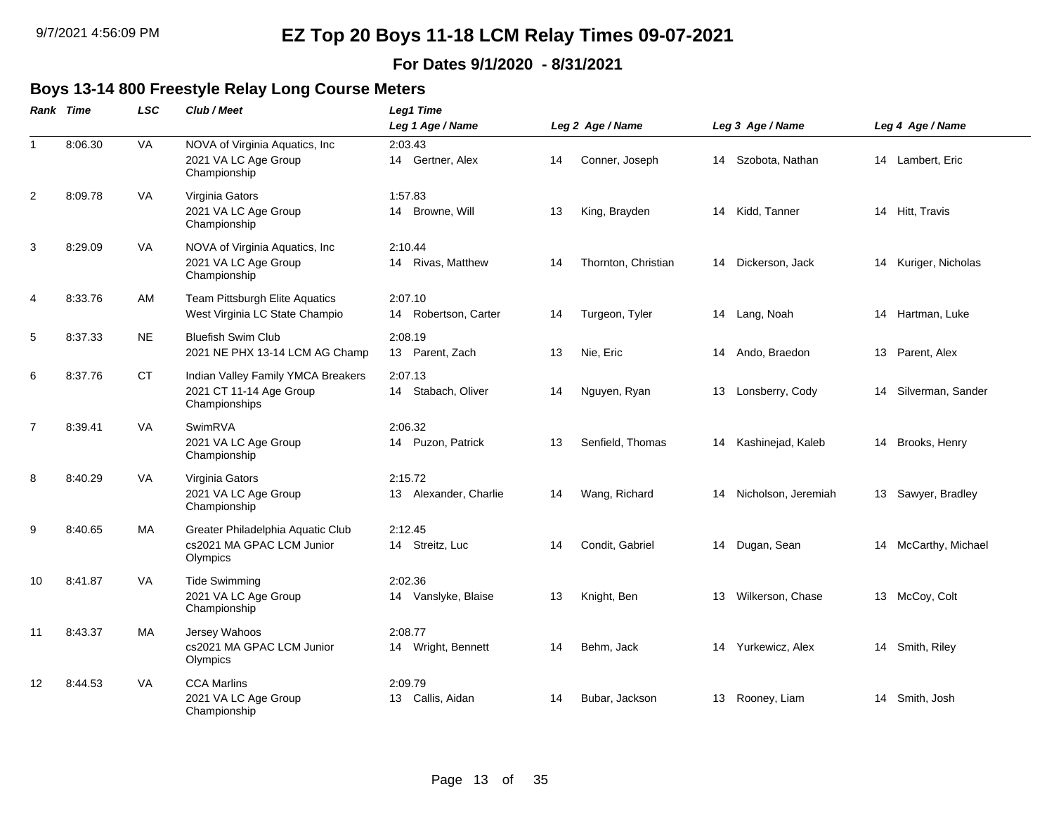#### **For Dates 9/1/2020 - 8/31/2021**

#### **Boys 13-14 800 Freestyle Relay Long Course Meters**

|                | Rank Time | <b>LSC</b> | Club / Meet                                                                    | Leg1 Time                        |    |                     |    |                        |                      |
|----------------|-----------|------------|--------------------------------------------------------------------------------|----------------------------------|----|---------------------|----|------------------------|----------------------|
|                |           |            |                                                                                | Leg 1 Age / Name                 |    | Leg 2 Age / Name    |    | Leg 3 Age / Name       | Leg 4 Age / Name     |
| $\mathbf{1}$   | 8:06.30   | VA         | NOVA of Virginia Aquatics, Inc.<br>2021 VA LC Age Group<br>Championship        | 2:03.43<br>14 Gertner, Alex      | 14 | Conner, Joseph      | 14 | Szobota, Nathan        | 14 Lambert, Eric     |
| $\overline{2}$ | 8:09.78   | VA         | Virginia Gators<br>2021 VA LC Age Group<br>Championship                        | 1:57.83<br>14 Browne, Will       | 13 | King, Brayden       |    | 14 Kidd, Tanner        | 14 Hitt, Travis      |
| 3              | 8:29.09   | VA         | NOVA of Virginia Aquatics, Inc.<br>2021 VA LC Age Group<br>Championship        | 2:10.44<br>14 Rivas, Matthew     | 14 | Thornton, Christian | 14 | Dickerson, Jack        | 14 Kuriger, Nicholas |
| 4              | 8:33.76   | AM         | Team Pittsburgh Elite Aquatics<br>West Virginia LC State Champio               | 2:07.10<br>14 Robertson, Carter  | 14 | Turgeon, Tyler      |    | 14 Lang, Noah          | 14 Hartman, Luke     |
| 5              | 8:37.33   | <b>NE</b>  | <b>Bluefish Swim Club</b><br>2021 NE PHX 13-14 LCM AG Champ                    | 2:08.19<br>13 Parent, Zach       | 13 | Nie, Eric           |    | 14 Ando, Braedon       | 13 Parent, Alex      |
| 6              | 8:37.76   | <b>CT</b>  | Indian Valley Family YMCA Breakers<br>2021 CT 11-14 Age Group<br>Championships | 2:07.13<br>14 Stabach, Oliver    | 14 | Nguyen, Ryan        | 13 | Lonsberry, Cody        | 14 Silverman, Sander |
| $\overline{7}$ | 8:39.41   | <b>VA</b>  | SwimRVA<br>2021 VA LC Age Group<br>Championship                                | 2:06.32<br>14 Puzon, Patrick     | 13 | Senfield, Thomas    | 14 | Kashinejad, Kaleb      | 14 Brooks, Henry     |
| 8              | 8:40.29   | VA         | Virginia Gators<br>2021 VA LC Age Group<br>Championship                        | 2:15.72<br>13 Alexander, Charlie | 14 | Wang, Richard       |    | 14 Nicholson, Jeremiah | 13 Sawyer, Bradley   |
| 9              | 8:40.65   | МA         | Greater Philadelphia Aquatic Club<br>cs2021 MA GPAC LCM Junior<br>Olympics     | 2:12.45<br>14 Streitz, Luc       | 14 | Condit, Gabriel     | 14 | Dugan, Sean            | 14 McCarthy, Michael |
| 10             | 8:41.87   | <b>VA</b>  | <b>Tide Swimming</b><br>2021 VA LC Age Group<br>Championship                   | 2:02.36<br>14 Vanslyke, Blaise   | 13 | Knight, Ben         | 13 | Wilkerson, Chase       | 13 McCoy, Colt       |
| 11             | 8:43.37   | <b>MA</b>  | Jersey Wahoos<br>cs2021 MA GPAC LCM Junior<br>Olympics                         | 2:08.77<br>14 Wright, Bennett    | 14 | Behm, Jack          | 14 | Yurkewicz, Alex        | 14 Smith, Riley      |
| 12             | 8:44.53   | VA         | <b>CCA Marlins</b><br>2021 VA LC Age Group<br>Championship                     | 2:09.79<br>13 Callis, Aidan      | 14 | Bubar, Jackson      | 13 | Rooney, Liam           | 14 Smith, Josh       |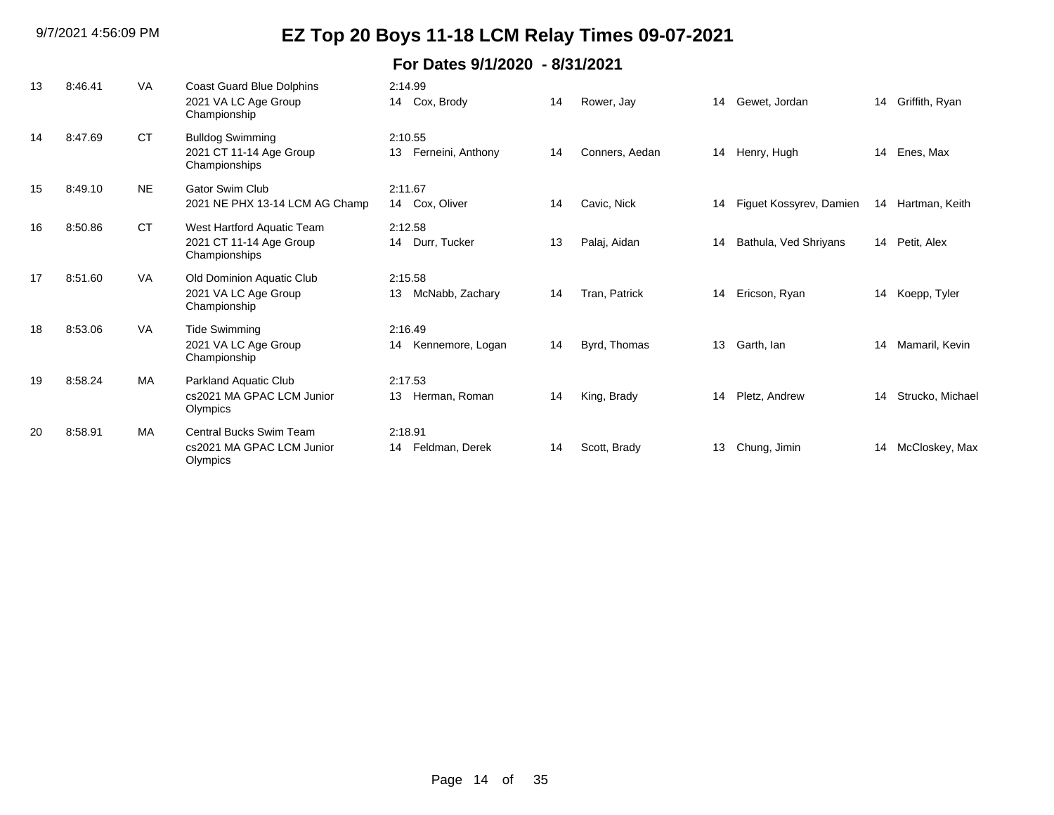| 13 | 8:46.41 | <b>VA</b> | Coast Guard Blue Dolphins<br>2021 VA LC Age Group<br>Championship      | 2:14.99<br>14 Cox, Brody           | 14 | Rower, Jay     | 14 | Gewet, Jordan           | 14 | Griffith, Ryan   |
|----|---------|-----------|------------------------------------------------------------------------|------------------------------------|----|----------------|----|-------------------------|----|------------------|
| 14 | 8:47.69 | <b>CT</b> | <b>Bulldog Swimming</b><br>2021 CT 11-14 Age Group<br>Championships    | 2:10.55<br>Ferneini, Anthony<br>13 | 14 | Conners, Aedan | 14 | Henry, Hugh             | 14 | Enes, Max        |
| 15 | 8:49.10 | <b>NE</b> | Gator Swim Club<br>2021 NE PHX 13-14 LCM AG Champ                      | 2:11.67<br>14 Cox, Oliver          | 14 | Cavic, Nick    | 14 | Figuet Kossyrev, Damien | 14 | Hartman, Keith   |
| 16 | 8:50.86 | <b>CT</b> | West Hartford Aquatic Team<br>2021 CT 11-14 Age Group<br>Championships | 2:12.58<br>14 Durr, Tucker         | 13 | Palaj, Aidan   | 14 | Bathula, Ved Shriyans   |    | 14 Petit, Alex   |
| 17 | 8:51.60 | <b>VA</b> | Old Dominion Aquatic Club<br>2021 VA LC Age Group<br>Championship      | 2:15.58<br>McNabb, Zachary<br>13   | 14 | Tran, Patrick  | 14 | Ericson, Ryan           | 14 | Koepp, Tyler     |
| 18 | 8:53.06 | <b>VA</b> | <b>Tide Swimming</b><br>2021 VA LC Age Group<br>Championship           | 2:16.49<br>14 Kennemore, Logan     | 14 | Byrd, Thomas   | 13 | Garth, Ian              | 14 | Mamaril, Kevin   |
| 19 | 8:58.24 | MA        | Parkland Aquatic Club<br>cs2021 MA GPAC LCM Junior<br>Olympics         | 2:17.53<br>Herman, Roman<br>13     | 14 | King, Brady    | 14 | Pletz, Andrew           | 14 | Strucko, Michael |
| 20 | 8:58.91 | <b>MA</b> | Central Bucks Swim Team<br>cs2021 MA GPAC LCM Junior<br>Olympics       | 2:18.91<br>Feldman, Derek<br>14    | 14 | Scott, Brady   | 13 | Chung, Jimin            | 14 | McCloskey, Max   |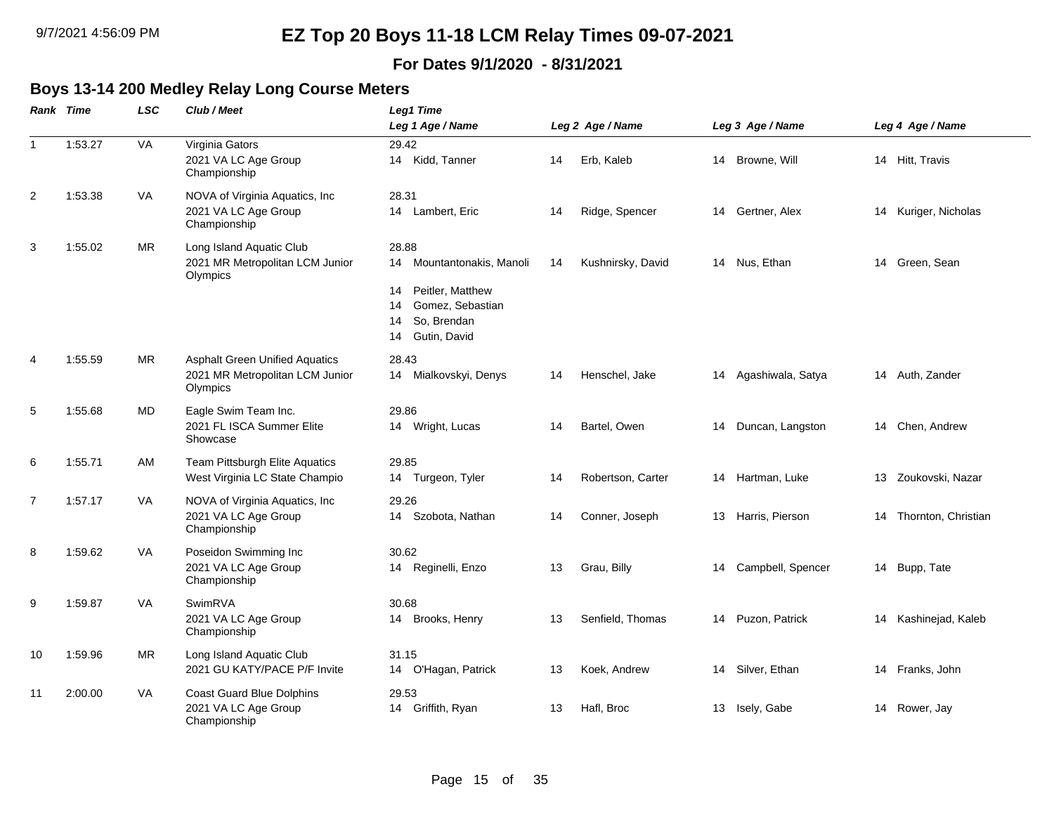#### **For Dates 9/1/2020 - 8/31/2021**

#### **Boys 13-14 200 Medley Relay Long Course Meters**

|                | Rank Time | <b>LSC</b> | Club / Meet                                                                          | Leg1 Time                                                                                                                            |    |                   |    |                   |    |                        |
|----------------|-----------|------------|--------------------------------------------------------------------------------------|--------------------------------------------------------------------------------------------------------------------------------------|----|-------------------|----|-------------------|----|------------------------|
|                |           |            |                                                                                      | Leg 1 Age / Name                                                                                                                     |    | Leg 2 Age / Name  |    | Leg 3 Age / Name  |    | Leg 4 Age / Name       |
| $\mathbf{1}$   | 1:53.27   | VA         | Virginia Gators<br>2021 VA LC Age Group<br>Championship                              | 29.42<br>14 Kidd, Tanner                                                                                                             | 14 | Erb, Kaleb        |    | 14 Browne, Will   |    | 14 Hitt, Travis        |
| $\overline{2}$ | 1:53.38   | VA         | NOVA of Virginia Aquatics, Inc<br>2021 VA LC Age Group<br>Championship               | 28.31<br>14 Lambert, Eric                                                                                                            | 14 | Ridge, Spencer    | 14 | Gertner, Alex     | 14 | Kuriger, Nicholas      |
| 3              | 1:55.02   | MR         | Long Island Aquatic Club<br>2021 MR Metropolitan LCM Junior<br>Olympics              | 28.88<br>Mountantonakis, Manoli<br>14<br>Peitler, Matthew<br>14<br>Gomez, Sebastian<br>14<br>So, Brendan<br>14<br>Gutin, David<br>14 | 14 | Kushnirsky, David |    | 14 Nus, Ethan     | 14 | Green, Sean            |
| 4              | 1:55.59   | <b>MR</b>  | <b>Asphalt Green Unified Aquatics</b><br>2021 MR Metropolitan LCM Junior<br>Olympics | 28.43<br>Mialkovskyi, Denys<br>14                                                                                                    | 14 | Henschel, Jake    | 14 | Agashiwala, Satya |    | 14 Auth, Zander        |
| 5              | 1:55.68   | MD         | Eagle Swim Team Inc.<br>2021 FL ISCA Summer Elite<br>Showcase                        | 29.86<br>14 Wright, Lucas                                                                                                            | 14 | Bartel, Owen      | 14 | Duncan, Langston  | 14 | Chen, Andrew           |
| 6              | 1:55.71   | AM         | Team Pittsburgh Elite Aquatics<br>West Virginia LC State Champio                     | 29.85<br>14 Turgeon, Tyler                                                                                                           | 14 | Robertson, Carter | 14 | Hartman, Luke     | 13 | Zoukovski, Nazar       |
| 7              | 1:57.17   | VA         | NOVA of Virginia Aquatics, Inc<br>2021 VA LC Age Group<br>Championship               | 29.26<br>14 Szobota, Nathan                                                                                                          | 14 | Conner, Joseph    | 13 | Harris, Pierson   |    | 14 Thornton, Christian |
| 8              | 1:59.62   | VA         | Poseidon Swimming Inc<br>2021 VA LC Age Group<br>Championship                        | 30.62<br>14 Reginelli, Enzo                                                                                                          | 13 | Grau, Billy       | 14 | Campbell, Spencer |    | 14 Bupp, Tate          |
| 9              | 1:59.87   | VA         | SwimRVA<br>2021 VA LC Age Group<br>Championship                                      | 30.68<br>14 Brooks, Henry                                                                                                            | 13 | Senfield, Thomas  | 14 | Puzon, Patrick    |    | 14 Kashinejad, Kaleb   |
| 10             | 1:59.96   | <b>MR</b>  | Long Island Aquatic Club<br>2021 GU KATY/PACE P/F Invite                             | 31.15<br>O'Hagan, Patrick<br>14                                                                                                      | 13 | Koek, Andrew      | 14 | Silver, Ethan     | 14 | Franks, John           |
| 11             | 2:00.00   | VA         | <b>Coast Guard Blue Dolphins</b><br>2021 VA LC Age Group<br>Championship             | 29.53<br>Griffith, Ryan<br>14                                                                                                        | 13 | Hafl, Broc        | 13 | Isely, Gabe       |    | 14 Rower, Jay          |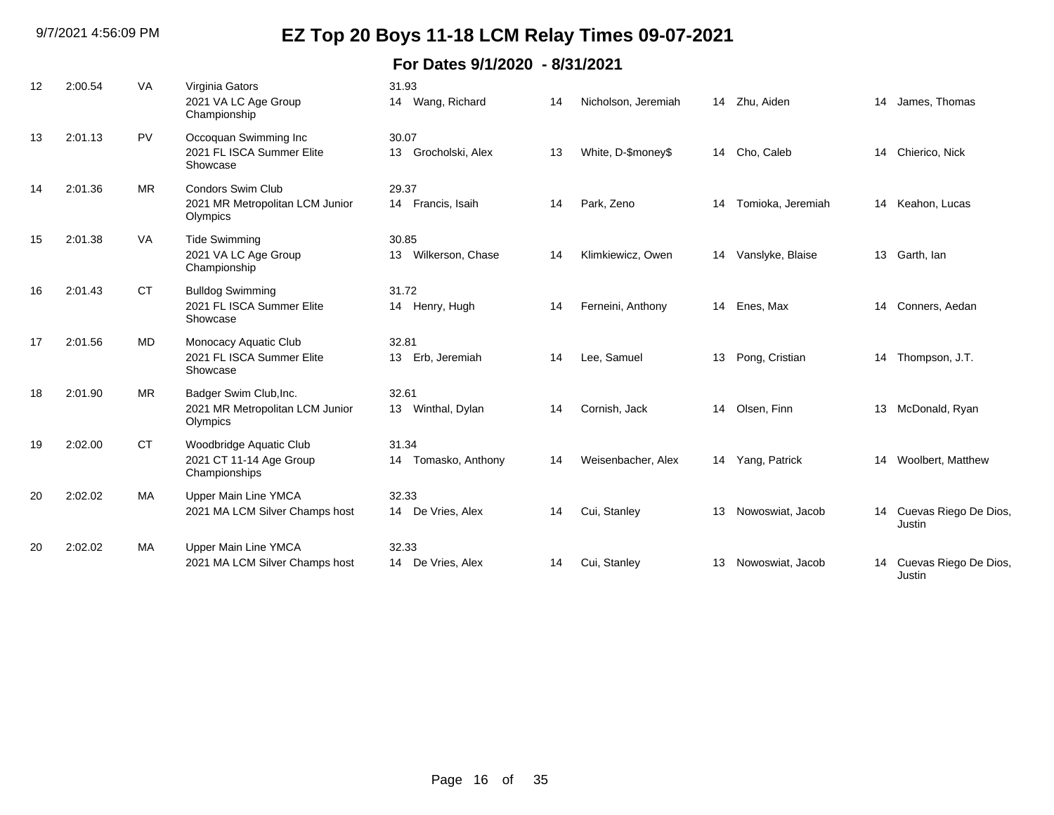| 12 | 2:00.54 | <b>VA</b> | Virginia Gators<br>2021 VA LC Age Group<br>Championship                 | 31.93<br>14 Wang, Richard       | 14 | Nicholson, Jeremiah |    | 14 Zhu, Aiden     | 14 | James, Thomas                      |
|----|---------|-----------|-------------------------------------------------------------------------|---------------------------------|----|---------------------|----|-------------------|----|------------------------------------|
| 13 | 2:01.13 | <b>PV</b> | Occoquan Swimming Inc<br>2021 FL ISCA Summer Elite<br>Showcase          | 30.07<br>13 Grocholski, Alex    | 13 | White, D-\$money\$  |    | 14 Cho, Caleb     |    | 14 Chierico, Nick                  |
| 14 | 2:01.36 | <b>MR</b> | <b>Condors Swim Club</b><br>2021 MR Metropolitan LCM Junior<br>Olympics | 29.37<br>14 Francis, Isaih      | 14 | Park, Zeno          | 14 | Tomioka, Jeremiah | 14 | Keahon, Lucas                      |
| 15 | 2:01.38 | <b>VA</b> | <b>Tide Swimming</b><br>2021 VA LC Age Group<br>Championship            | 30.85<br>13 Wilkerson, Chase    | 14 | Klimkiewicz, Owen   | 14 | Vanslyke, Blaise  | 13 | Garth, Ian                         |
| 16 | 2:01.43 | <b>CT</b> | <b>Bulldog Swimming</b><br>2021 FL ISCA Summer Elite<br>Showcase        | 31.72<br>14 Henry, Hugh         | 14 | Ferneini, Anthony   |    | 14 Enes, Max      |    | 14 Conners, Aedan                  |
| 17 | 2:01.56 | MD.       | Monocacy Aquatic Club<br>2021 FL ISCA Summer Elite<br>Showcase          | 32.81<br>13 Erb, Jeremiah       | 14 | Lee, Samuel         | 13 | Pong, Cristian    | 14 | Thompson, J.T.                     |
| 18 | 2:01.90 | <b>MR</b> | Badger Swim Club, Inc.<br>2021 MR Metropolitan LCM Junior<br>Olympics   | 32.61<br>13 Winthal, Dylan      | 14 | Cornish, Jack       |    | 14 Olsen, Finn    | 13 | McDonald, Ryan                     |
| 19 | 2:02.00 | <b>CT</b> | Woodbridge Aquatic Club<br>2021 CT 11-14 Age Group<br>Championships     | 31.34<br>Tomasko, Anthony<br>14 | 14 | Weisenbacher, Alex  |    | 14 Yang, Patrick  | 14 | Woolbert, Matthew                  |
| 20 | 2:02.02 | <b>MA</b> | <b>Upper Main Line YMCA</b><br>2021 MA LCM Silver Champs host           | 32.33<br>De Vries, Alex<br>14   | 14 | Cui, Stanley        | 13 | Nowoswiat, Jacob  |    | 14 Cuevas Riego De Dios,<br>Justin |
| 20 | 2:02.02 | МA        | <b>Upper Main Line YMCA</b><br>2021 MA LCM Silver Champs host           | 32.33<br>14 De Vries, Alex      | 14 | Cui, Stanley        | 13 | Nowoswiat, Jacob  | 14 | Cuevas Riego De Dios,<br>Justin    |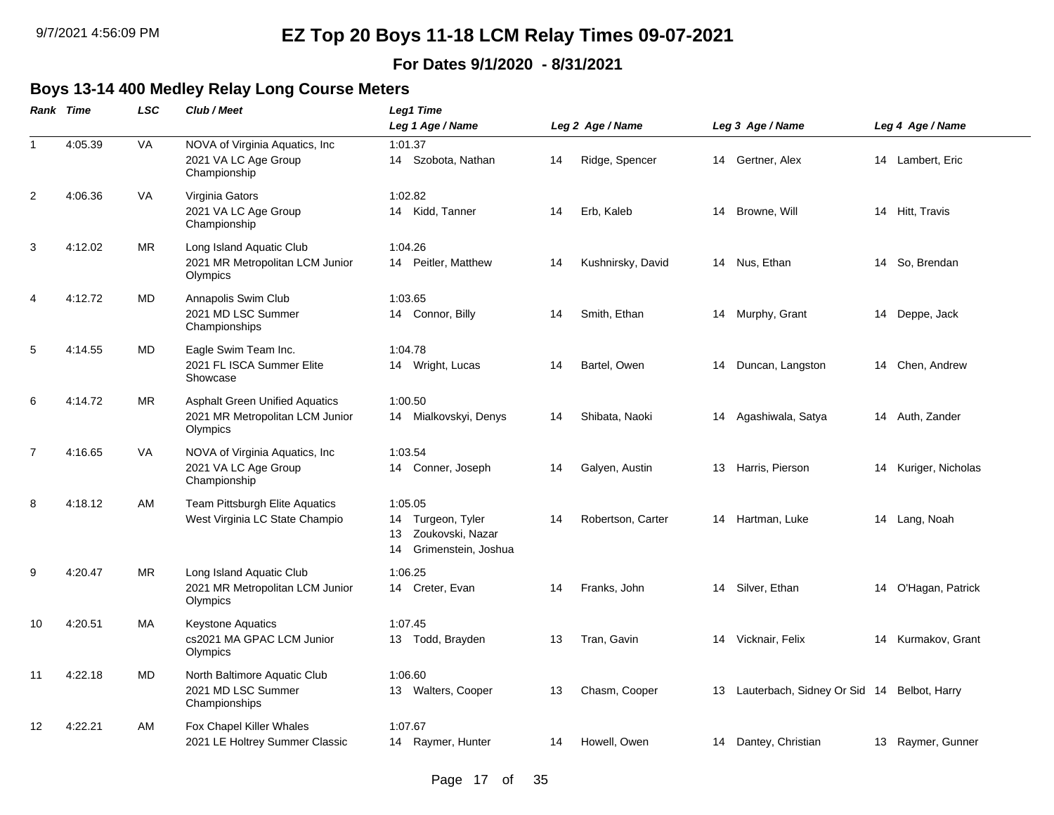#### **For Dates 9/1/2020 - 8/31/2021**

### **Boys 13-14 400 Medley Relay Long Course Meters**

|                | <b>Rank Time</b> | <b>LSC</b> | Club / Meet                                                                          | Leg1 Time                                                                           |    |                   |    |                                               |                      |
|----------------|------------------|------------|--------------------------------------------------------------------------------------|-------------------------------------------------------------------------------------|----|-------------------|----|-----------------------------------------------|----------------------|
|                |                  |            |                                                                                      | Leg 1 Age / Name                                                                    |    | Leg 2 Age / Name  |    | Leg 3 Age / Name                              | Leg 4 Age / Name     |
| $\mathbf{1}$   | 4:05.39          | VA         | NOVA of Virginia Aquatics, Inc.<br>2021 VA LC Age Group<br>Championship              | 1:01.37<br>14 Szobota, Nathan                                                       | 14 | Ridge, Spencer    |    | 14 Gertner, Alex                              | 14 Lambert, Eric     |
| 2              | 4:06.36          | <b>VA</b>  | Virginia Gators<br>2021 VA LC Age Group<br>Championship                              | 1:02.82<br>14 Kidd, Tanner                                                          | 14 | Erb, Kaleb        | 14 | Browne, Will                                  | 14 Hitt, Travis      |
| 3              | 4:12.02          | <b>MR</b>  | Long Island Aquatic Club<br>2021 MR Metropolitan LCM Junior<br>Olympics              | 1:04.26<br>Peitler, Matthew<br>14                                                   | 14 | Kushnirsky, David |    | 14 Nus, Ethan                                 | 14 So, Brendan       |
| 4              | 4:12.72          | MD         | Annapolis Swim Club<br>2021 MD LSC Summer<br>Championships                           | 1:03.65<br>14 Connor, Billy                                                         | 14 | Smith, Ethan      |    | 14 Murphy, Grant                              | 14 Deppe, Jack       |
| 5              | 4:14.55          | MD         | Eagle Swim Team Inc.<br>2021 FL ISCA Summer Elite<br>Showcase                        | 1:04.78<br>14 Wright, Lucas                                                         | 14 | Bartel, Owen      | 14 | Duncan, Langston                              | 14 Chen, Andrew      |
| 6              | 4:14.72          | <b>MR</b>  | <b>Asphalt Green Unified Aquatics</b><br>2021 MR Metropolitan LCM Junior<br>Olympics | 1:00.50<br>14 Mialkovskyi, Denys                                                    | 14 | Shibata, Naoki    |    | 14 Agashiwala, Satya                          | 14 Auth, Zander      |
| $\overline{7}$ | 4:16.65          | VA         | NOVA of Virginia Aquatics, Inc.<br>2021 VA LC Age Group<br>Championship              | 1:03.54<br>14 Conner, Joseph                                                        | 14 | Galyen, Austin    |    | 13 Harris, Pierson                            | 14 Kuriger, Nicholas |
| 8              | 4:18.12          | AM         | Team Pittsburgh Elite Aquatics<br>West Virginia LC State Champio                     | 1:05.05<br>14 Turgeon, Tyler<br>Zoukovski, Nazar<br>13<br>Grimenstein, Joshua<br>14 | 14 | Robertson, Carter |    | 14 Hartman, Luke                              | 14 Lang, Noah        |
| 9              | 4:20.47          | <b>MR</b>  | Long Island Aquatic Club<br>2021 MR Metropolitan LCM Junior<br>Olympics              | 1:06.25<br>14 Creter, Evan                                                          | 14 | Franks, John      |    | 14 Silver, Ethan                              | 14 O'Hagan, Patrick  |
| 10             | 4:20.51          | МA         | <b>Keystone Aquatics</b><br>cs2021 MA GPAC LCM Junior<br>Olympics                    | 1:07.45<br>13 Todd, Brayden                                                         | 13 | Tran, Gavin       |    | 14 Vicknair, Felix                            | 14 Kurmakov, Grant   |
| 11             | 4:22.18          | MD         | North Baltimore Aquatic Club<br>2021 MD LSC Summer<br>Championships                  | 1:06.60<br>13 Walters, Cooper                                                       | 13 | Chasm, Cooper     |    | 13 Lauterbach, Sidney Or Sid 14 Belbot, Harry |                      |
| 12             | 4:22.21          | AM         | Fox Chapel Killer Whales<br>2021 LE Holtrey Summer Classic                           | 1:07.67<br>14 Raymer, Hunter                                                        | 14 | Howell, Owen      |    | 14 Dantey, Christian                          | 13 Raymer, Gunner    |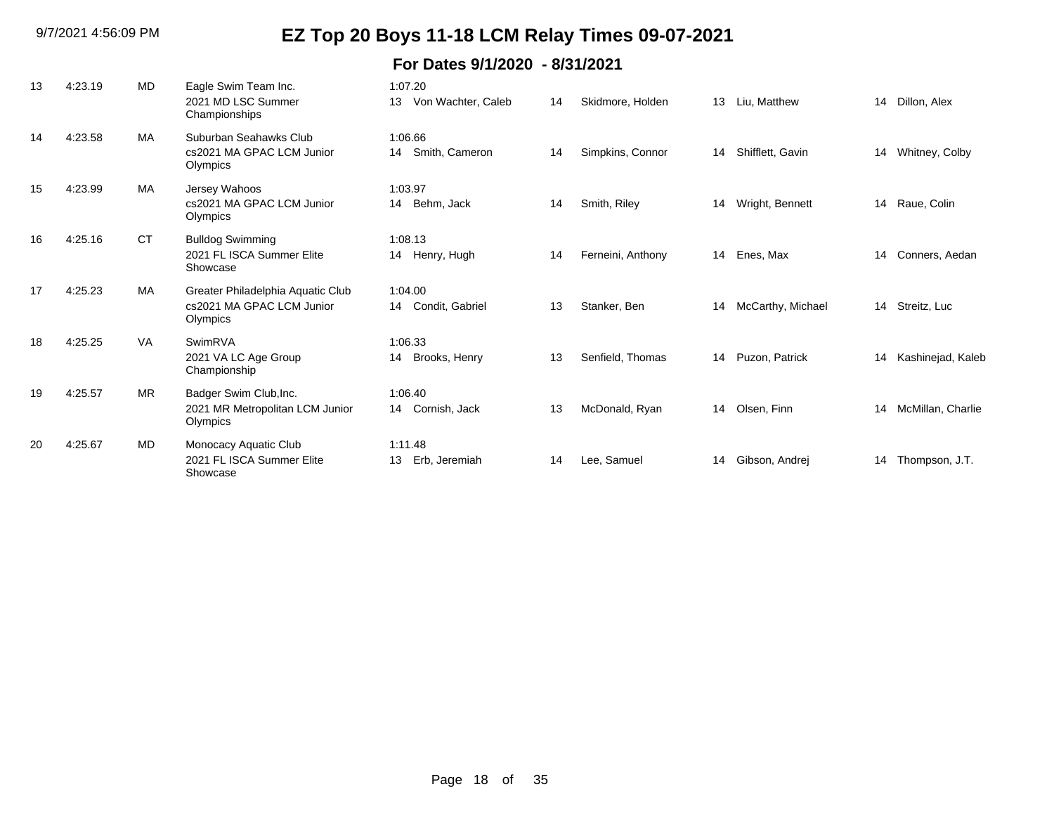| 13 | 4:23.19 | <b>MD</b> | Eagle Swim Team Inc.<br>2021 MD LSC Summer<br>Championships                | 1:07.20<br>Von Wachter, Caleb<br>13 | 14 | Skidmore, Holden  | 13 | Liu. Matthew      | 14 | Dillon, Alex      |
|----|---------|-----------|----------------------------------------------------------------------------|-------------------------------------|----|-------------------|----|-------------------|----|-------------------|
| 14 | 4:23.58 | <b>MA</b> | Suburban Seahawks Club<br>cs2021 MA GPAC LCM Junior<br>Olympics            | 1:06.66<br>Smith, Cameron<br>14     | 14 | Simpkins, Connor  | 14 | Shifflett, Gavin  | 14 | Whitney, Colby    |
| 15 | 4:23.99 | <b>MA</b> | Jersey Wahoos<br>cs2021 MA GPAC LCM Junior<br>Olympics                     | 1:03.97<br>14 Behm, Jack            | 14 | Smith, Riley      | 14 | Wright, Bennett   | 14 | Raue, Colin       |
| 16 | 4:25.16 | <b>CT</b> | <b>Bulldog Swimming</b><br>2021 FL ISCA Summer Elite<br>Showcase           | 1:08.13<br>14 Henry, Hugh           | 14 | Ferneini, Anthony | 14 | Enes, Max         | 14 | Conners, Aedan    |
| 17 | 4:25.23 | <b>MA</b> | Greater Philadelphia Aquatic Club<br>cs2021 MA GPAC LCM Junior<br>Olympics | 1:04.00<br>Condit, Gabriel<br>14    | 13 | Stanker, Ben      | 14 | McCarthy, Michael | 14 | Streitz, Luc      |
| 18 | 4:25.25 | <b>VA</b> | SwimRVA<br>2021 VA LC Age Group<br>Championship                            | 1:06.33<br>Brooks, Henry<br>14      | 13 | Senfield, Thomas  | 14 | Puzon, Patrick    | 14 | Kashinejad, Kaleb |
| 19 | 4:25.57 | <b>MR</b> | Badger Swim Club, Inc.<br>2021 MR Metropolitan LCM Junior<br>Olympics      | 1:06.40<br>Cornish, Jack<br>14      | 13 | McDonald, Ryan    | 14 | Olsen, Finn       | 14 | McMillan, Charlie |
| 20 | 4:25.67 | <b>MD</b> | Monocacy Aquatic Club<br>2021 FL ISCA Summer Elite<br>Showcase             | 1:11.48<br>Erb, Jeremiah<br>13      | 14 | Lee, Samuel       | 14 | Gibson, Andrej    | 14 | Thompson, J.T.    |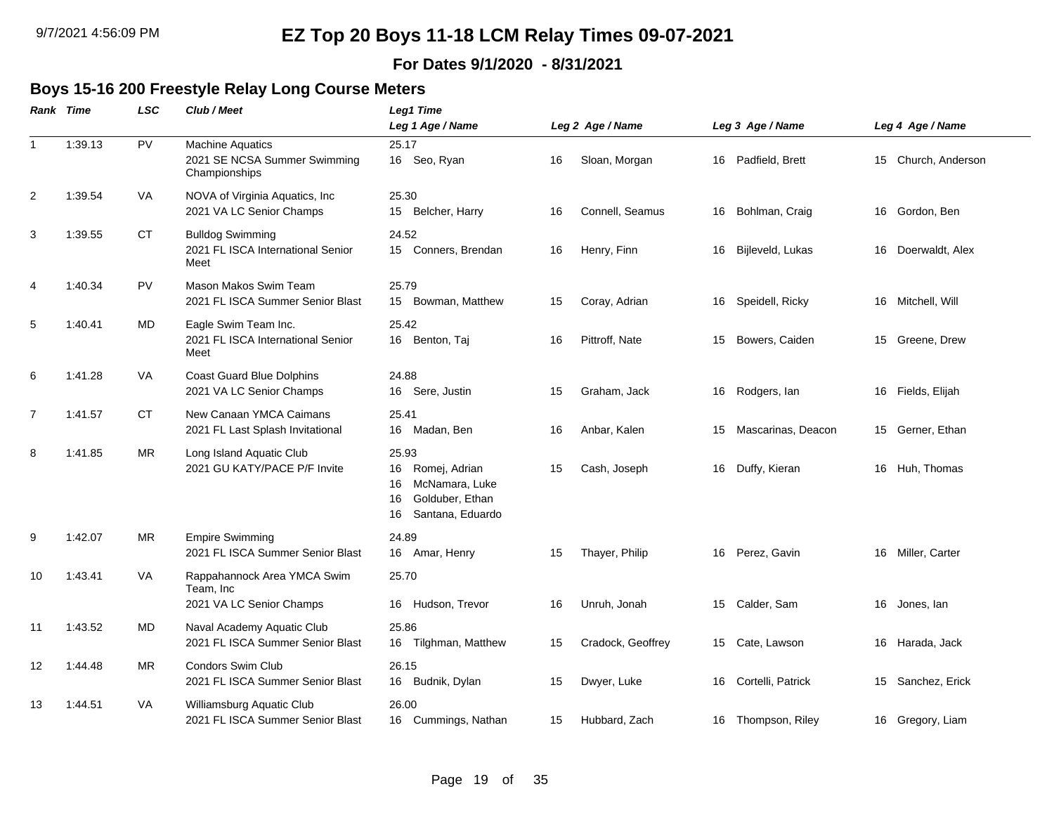#### **For Dates 9/1/2020 - 8/31/2021**

#### **Boys 15-16 200 Freestyle Relay Long Course Meters**

|                | Rank Time | <b>LSC</b> | Club / Meet                                                              | Leg1 Time                                                                                               |    |                   |    |                    |    |                     |
|----------------|-----------|------------|--------------------------------------------------------------------------|---------------------------------------------------------------------------------------------------------|----|-------------------|----|--------------------|----|---------------------|
|                |           |            |                                                                          | Leg 1 Age / Name                                                                                        |    | Leg 2 Age / Name  |    | Leg 3 Age / Name   |    | Leg 4 Age / Name    |
| $\mathbf{1}$   | 1:39.13   | PV         | <b>Machine Aquatics</b><br>2021 SE NCSA Summer Swimming<br>Championships | 25.17<br>16 Seo, Ryan                                                                                   | 16 | Sloan, Morgan     | 16 | Padfield, Brett    |    | 15 Church, Anderson |
| 2              | 1:39.54   | <b>VA</b>  | NOVA of Virginia Aquatics, Inc<br>2021 VA LC Senior Champs               | 25.30<br>15<br>Belcher, Harry                                                                           | 16 | Connell, Seamus   | 16 | Bohlman, Craig     | 16 | Gordon, Ben         |
| 3              | 1:39.55   | CT         | <b>Bulldog Swimming</b><br>2021 FL ISCA International Senior<br>Meet     | 24.52<br>15 Conners, Brendan                                                                            | 16 | Henry, Finn       | 16 | Bijleveld, Lukas   |    | 16 Doerwaldt, Alex  |
| 4              | 1:40.34   | PV         | Mason Makos Swim Team<br>2021 FL ISCA Summer Senior Blast                | 25.79<br>15 Bowman, Matthew                                                                             | 15 | Coray, Adrian     | 16 | Speidell, Ricky    |    | 16 Mitchell, Will   |
| 5              | 1:40.41   | MD         | Eagle Swim Team Inc.<br>2021 FL ISCA International Senior<br>Meet        | 25.42<br>16 Benton, Taj                                                                                 | 16 | Pittroff, Nate    | 15 | Bowers, Caiden     |    | 15 Greene, Drew     |
| 6              | 1:41.28   | VA         | <b>Coast Guard Blue Dolphins</b><br>2021 VA LC Senior Champs             | 24.88<br>16 Sere, Justin                                                                                | 15 | Graham, Jack      | 16 | Rodgers, lan       | 16 | Fields, Elijah      |
| $\overline{7}$ | 1:41.57   | CT         | New Canaan YMCA Caimans<br>2021 FL Last Splash Invitational              | 25.41<br>16<br>Madan, Ben                                                                               | 16 | Anbar, Kalen      | 15 | Mascarinas, Deacon | 15 | Gerner, Ethan       |
| 8              | 1:41.85   | MR         | Long Island Aquatic Club<br>2021 GU KATY/PACE P/F Invite                 | 25.93<br>Romej, Adrian<br>16<br>16<br>McNamara, Luke<br>Golduber, Ethan<br>16<br>Santana, Eduardo<br>16 | 15 | Cash, Joseph      | 16 | Duffy, Kieran      |    | 16 Huh, Thomas      |
| 9              | 1:42.07   | <b>MR</b>  | <b>Empire Swimming</b><br>2021 FL ISCA Summer Senior Blast               | 24.89<br>16 Amar, Henry                                                                                 | 15 | Thayer, Philip    | 16 | Perez, Gavin       |    | 16 Miller, Carter   |
| 10             | 1:43.41   | VA         | Rappahannock Area YMCA Swim<br>Team, Inc<br>2021 VA LC Senior Champs     | 25.70<br>Hudson, Trevor<br>16                                                                           | 16 | Unruh, Jonah      | 15 | Calder, Sam        | 16 | Jones, lan          |
| 11             | 1:43.52   | <b>MD</b>  | Naval Academy Aquatic Club<br>2021 FL ISCA Summer Senior Blast           | 25.86<br>Tilghman, Matthew<br>16                                                                        | 15 | Cradock, Geoffrey | 15 | Cate, Lawson       |    | 16 Harada, Jack     |
| 12             | 1:44.48   | MR         | <b>Condors Swim Club</b><br>2021 FL ISCA Summer Senior Blast             | 26.15<br>Budnik, Dylan<br>16                                                                            | 15 | Dwyer, Luke       | 16 | Cortelli, Patrick  | 15 | Sanchez, Erick      |
| 13             | 1:44.51   | VA         | Williamsburg Aquatic Club<br>2021 FL ISCA Summer Senior Blast            | 26.00<br>16 Cummings, Nathan                                                                            | 15 | Hubbard, Zach     | 16 | Thompson, Riley    |    | 16 Gregory, Liam    |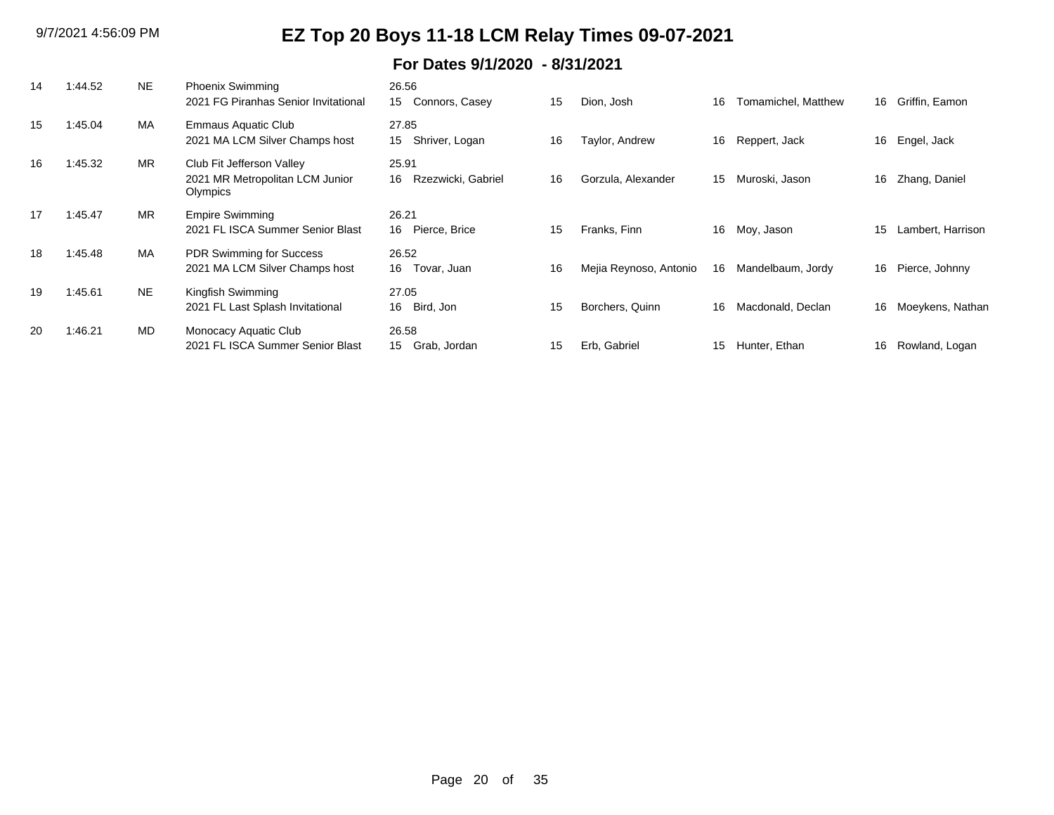| 14 | 1:44.52 | <b>NE</b> | <b>Phoenix Swimming</b><br>2021 FG Piranhas Senior Invitational          | 26.56<br>Connors, Casey<br>15     | 15 | Dion, Josh             | 16 | Tomamichel, Matthew | 16 | Griffin, Eamon    |
|----|---------|-----------|--------------------------------------------------------------------------|-----------------------------------|----|------------------------|----|---------------------|----|-------------------|
| 15 | 1:45.04 | MA        | Emmaus Aquatic Club<br>2021 MA LCM Silver Champs host                    | 27.85<br>Shriver, Logan<br>15     | 16 | Taylor, Andrew         | 16 | Reppert, Jack       | 16 | Engel, Jack       |
| 16 | 1:45.32 | <b>MR</b> | Club Fit Jefferson Valley<br>2021 MR Metropolitan LCM Junior<br>Olympics | 25.91<br>Rzezwicki, Gabriel<br>16 | 16 | Gorzula, Alexander     | 15 | Muroski, Jason      | 16 | Zhang, Daniel     |
| 17 | 1:45.47 | <b>MR</b> | <b>Empire Swimming</b><br>2021 FL ISCA Summer Senior Blast               | 26.21<br>16 Pierce, Brice         | 15 | Franks, Finn           | 16 | Moy, Jason          | 15 | Lambert, Harrison |
| 18 | 1:45.48 | <b>MA</b> | <b>PDR Swimming for Success</b><br>2021 MA LCM Silver Champs host        | 26.52<br>16<br>Tovar, Juan        | 16 | Mejia Reynoso, Antonio | 16 | Mandelbaum, Jordy   | 16 | Pierce, Johnny    |
| 19 | 1:45.61 | NE.       | Kingfish Swimming<br>2021 FL Last Splash Invitational                    | 27.05<br>16<br>Bird, Jon          | 15 | Borchers, Quinn        | 16 | Macdonald, Declan   | 16 | Moeykens, Nathan  |
| 20 | 1:46.21 | <b>MD</b> | Monocacy Aquatic Club<br>2021 FL ISCA Summer Senior Blast                | 26.58<br>15 Grab, Jordan          | 15 | Erb, Gabriel           | 15 | Hunter, Ethan       | 16 | Rowland, Logan    |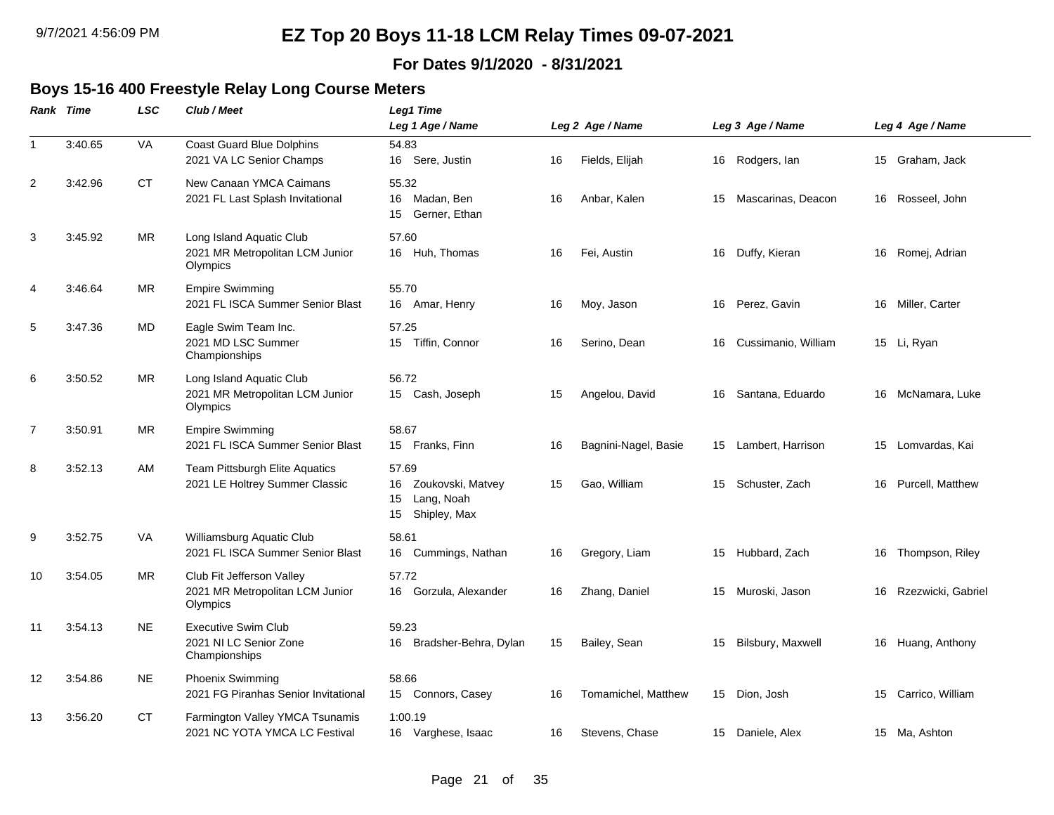#### **For Dates 9/1/2020 - 8/31/2021**

#### **Boys 15-16 400 Freestyle Relay Long Course Meters**

|                | <b>Rank Time</b> | <b>LSC</b> | Club / Meet                                                              | Leg1 Time<br>Leg 1 Age / Name                                              |    | Leg 2 Age / Name     |    | Leg 3 Age / Name    | Leg 4 Age / Name      |
|----------------|------------------|------------|--------------------------------------------------------------------------|----------------------------------------------------------------------------|----|----------------------|----|---------------------|-----------------------|
| $\mathbf{1}$   | 3:40.65          | VA         | <b>Coast Guard Blue Dolphins</b>                                         | 54.83                                                                      |    |                      |    |                     |                       |
|                |                  |            | 2021 VA LC Senior Champs                                                 | 16 Sere, Justin                                                            | 16 | Fields, Elijah       |    | 16 Rodgers, lan     | 15 Graham, Jack       |
| 2              | 3:42.96          | CT.        | New Canaan YMCA Caimans<br>2021 FL Last Splash Invitational              | 55.32<br>16<br>Madan, Ben<br>Gerner, Ethan<br>15                           | 16 | Anbar, Kalen         | 15 | Mascarinas, Deacon  | 16 Rosseel, John      |
| 3              | 3:45.92          | MR         | Long Island Aquatic Club<br>2021 MR Metropolitan LCM Junior<br>Olympics  | 57.60<br>16 Huh, Thomas                                                    | 16 | Fei, Austin          |    | 16 Duffy, Kieran    | 16 Romej, Adrian      |
| 4              | 3:46.64          | <b>MR</b>  | <b>Empire Swimming</b><br>2021 FL ISCA Summer Senior Blast               | 55.70<br>16 Amar, Henry                                                    | 16 | Moy, Jason           |    | 16 Perez, Gavin     | 16 Miller, Carter     |
| 5              | 3:47.36          | MD         | Eagle Swim Team Inc.<br>2021 MD LSC Summer<br>Championships              | 57.25<br>15 Tiffin, Connor                                                 | 16 | Serino, Dean         | 16 | Cussimanio, William | 15 Li, Ryan           |
| 6              | 3:50.52          | MR         | Long Island Aquatic Club<br>2021 MR Metropolitan LCM Junior<br>Olympics  | 56.72<br>15 Cash, Joseph                                                   | 15 | Angelou, David       |    | 16 Santana, Eduardo | 16 McNamara, Luke     |
| $\overline{7}$ | 3:50.91          | <b>MR</b>  | <b>Empire Swimming</b><br>2021 FL ISCA Summer Senior Blast               | 58.67<br>15 Franks, Finn                                                   | 16 | Bagnini-Nagel, Basie | 15 | Lambert, Harrison   | 15 Lomvardas, Kai     |
| 8              | 3:52.13          | AM         | Team Pittsburgh Elite Aquatics<br>2021 LE Holtrey Summer Classic         | 57.69<br>Zoukovski, Matvey<br>16<br>Lang, Noah<br>15<br>Shipley, Max<br>15 | 15 | Gao, William         |    | 15 Schuster, Zach   | 16 Purcell, Matthew   |
| 9              | 3:52.75          | VA         | Williamsburg Aquatic Club<br>2021 FL ISCA Summer Senior Blast            | 58.61<br>16<br>Cummings, Nathan                                            | 16 | Gregory, Liam        |    | 15 Hubbard, Zach    | 16 Thompson, Riley    |
| 10             | 3:54.05          | MR         | Club Fit Jefferson Valley<br>2021 MR Metropolitan LCM Junior<br>Olympics | 57.72<br>Gorzula, Alexander<br>16                                          | 16 | Zhang, Daniel        |    | 15 Muroski, Jason   | 16 Rzezwicki, Gabriel |
| 11             | 3:54.13          | <b>NE</b>  | <b>Executive Swim Club</b><br>2021 NI LC Senior Zone<br>Championships    | 59.23<br>Bradsher-Behra, Dylan<br>16                                       | 15 | Bailey, Sean         | 15 | Bilsbury, Maxwell   | 16 Huang, Anthony     |
| 12             | 3:54.86          | NE.        | <b>Phoenix Swimming</b><br>2021 FG Piranhas Senior Invitational          | 58.66<br>15 Connors, Casey                                                 | 16 | Tomamichel, Matthew  |    | 15 Dion, Josh       | 15 Carrico, William   |
| 13             | 3:56.20          | СT         | Farmington Valley YMCA Tsunamis<br>2021 NC YOTA YMCA LC Festival         | 1:00.19<br>16 Varghese, Isaac                                              | 16 | Stevens, Chase       |    | 15 Daniele, Alex    | 15 Ma, Ashton         |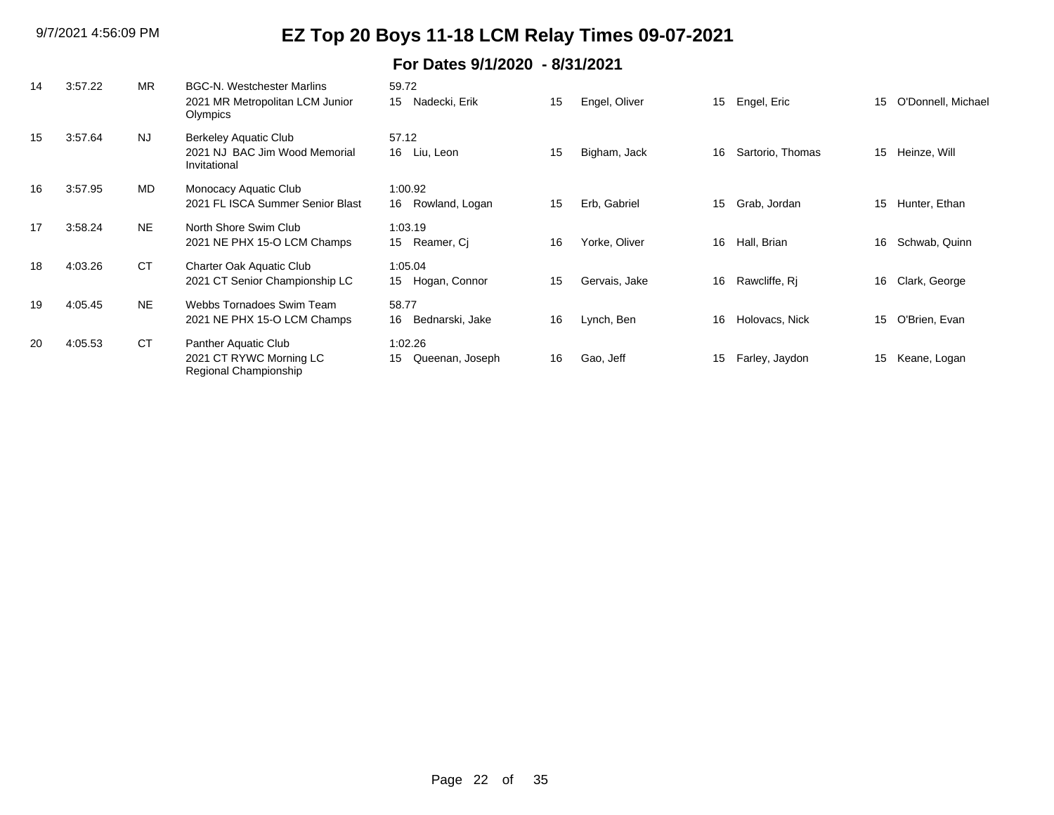| 14 | 3:57.22 | <b>MR</b> | <b>BGC-N. Westchester Marlins</b><br>2021 MR Metropolitan LCM Junior<br>Olympics | 59.72<br>Nadecki, Erik<br>15     | 15 | Engel, Oliver | 15 | Engel, Eric      | 15 | O'Donnell, Michael |
|----|---------|-----------|----------------------------------------------------------------------------------|----------------------------------|----|---------------|----|------------------|----|--------------------|
| 15 | 3:57.64 | NJ        | <b>Berkeley Aquatic Club</b><br>2021 NJ BAC Jim Wood Memorial<br>Invitational    | 57.12<br>16 Liu, Leon            | 15 | Bigham, Jack  | 16 | Sartorio, Thomas | 15 | Heinze, Will       |
| 16 | 3:57.95 | <b>MD</b> | Monocacy Aquatic Club<br>2021 FL ISCA Summer Senior Blast                        | 1:00.92<br>Rowland, Logan<br>16  | 15 | Erb, Gabriel  | 15 | Grab, Jordan     | 15 | Hunter, Ethan      |
| 17 | 3:58.24 | NE.       | North Shore Swim Club<br>2021 NE PHX 15-O LCM Champs                             | 1:03.19<br>15 Reamer, Ci         | 16 | Yorke, Oliver | 16 | Hall, Brian      | 16 | Schwab, Quinn      |
| 18 | 4:03.26 | <b>CT</b> | <b>Charter Oak Aquatic Club</b><br>2021 CT Senior Championship LC                | 1:05.04<br>15 Hogan, Connor      | 15 | Gervais, Jake | 16 | Rawcliffe, Rj    | 16 | Clark, George      |
| 19 | 4:05.45 | <b>NE</b> | Webbs Tornadoes Swim Team<br>2021 NE PHX 15-O LCM Champs                         | 58.77<br>Bednarski, Jake<br>16   | 16 | Lynch, Ben    | 16 | Holovacs, Nick   | 15 | O'Brien, Evan      |
| 20 | 4:05.53 | <b>CT</b> | Panther Aquatic Club<br>2021 CT RYWC Morning LC<br>Regional Championship         | 1:02.26<br>15<br>Queenan, Joseph | 16 | Gao, Jeff     | 15 | Farley, Jaydon   | 15 | Keane, Logan       |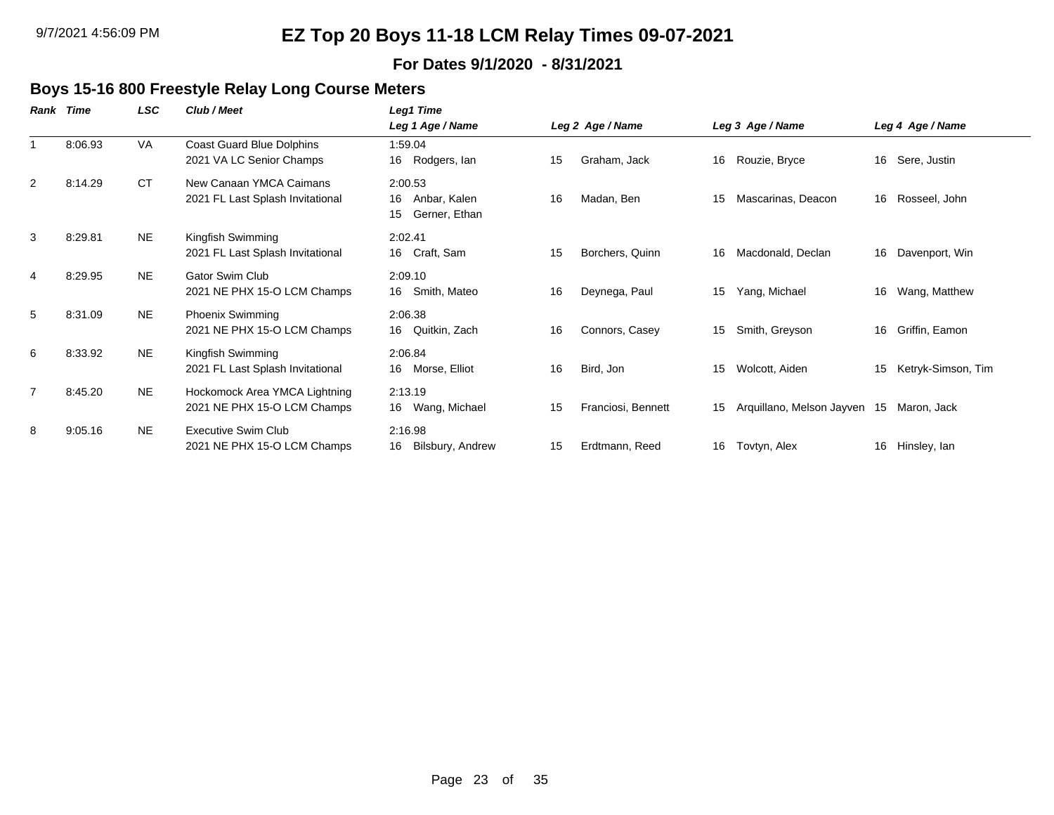#### **For Dates 9/1/2020 - 8/31/2021**

#### **Boys 15-16 800 Freestyle Relay Long Course Meters**

| Rank | Time    | <b>LSC</b> | Club / Meet                                                  | Leg1 Time                                            |    |                    |    |                              |    |                    |
|------|---------|------------|--------------------------------------------------------------|------------------------------------------------------|----|--------------------|----|------------------------------|----|--------------------|
|      |         |            |                                                              | Leg 1 Age / Name                                     |    | Leg 2 Age / Name   |    | Leg 3 Age / Name             |    | Leg 4 Age / Name   |
|      | 8:06.93 | VA         | Coast Guard Blue Dolphins<br>2021 VA LC Senior Champs        | 1:59.04<br>Rodgers, lan<br>16                        | 15 | Graham, Jack       | 16 | Rouzie, Bryce                |    | 16 Sere, Justin    |
| 2    | 8:14.29 | <b>CT</b>  | New Canaan YMCA Caimans<br>2021 FL Last Splash Invitational  | 2:00.53<br>16<br>Anbar, Kalen<br>Gerner, Ethan<br>15 | 16 | Madan, Ben         | 15 | Mascarinas, Deacon           |    | 16 Rosseel, John   |
| 3    | 8:29.81 | <b>NE</b>  | Kingfish Swimming<br>2021 FL Last Splash Invitational        | 2:02.41<br>16 Craft, Sam                             | 15 | Borchers, Quinn    | 16 | Macdonald, Declan            | 16 | Davenport, Win     |
| 4    | 8:29.95 | <b>NE</b>  | Gator Swim Club<br>2021 NE PHX 15-O LCM Champs               | 2:09.10<br>16<br>Smith, Mateo                        | 16 | Deynega, Paul      | 15 | Yang, Michael                | 16 | Wang, Matthew      |
| 5    | 8:31.09 | <b>NE</b>  | <b>Phoenix Swimming</b><br>2021 NE PHX 15-O LCM Champs       | 2:06.38<br>Quitkin, Zach<br>16                       | 16 | Connors, Casey     | 15 | Smith, Greyson               | 16 | Griffin, Eamon     |
| 6    | 8:33.92 | <b>NE</b>  | Kingfish Swimming<br>2021 FL Last Splash Invitational        | 2:06.84<br>Morse, Elliot<br>16                       | 16 | Bird, Jon          | 15 | Wolcott, Aiden               | 15 | Ketryk-Simson, Tim |
| 7    | 8:45.20 | <b>NE</b>  | Hockomock Area YMCA Lightning<br>2021 NE PHX 15-O LCM Champs | 2:13.19<br>Wang, Michael<br>16                       | 15 | Franciosi, Bennett | 15 | Arquillano, Melson Jayven 15 |    | Maron, Jack        |
| 8    | 9:05.16 | <b>NE</b>  | <b>Executive Swim Club</b><br>2021 NE PHX 15-O LCM Champs    | 2:16.98<br>16<br>Bilsbury, Andrew                    | 15 | Erdtmann, Reed     | 16 | Tovtyn, Alex                 |    | 16 Hinsley, lan    |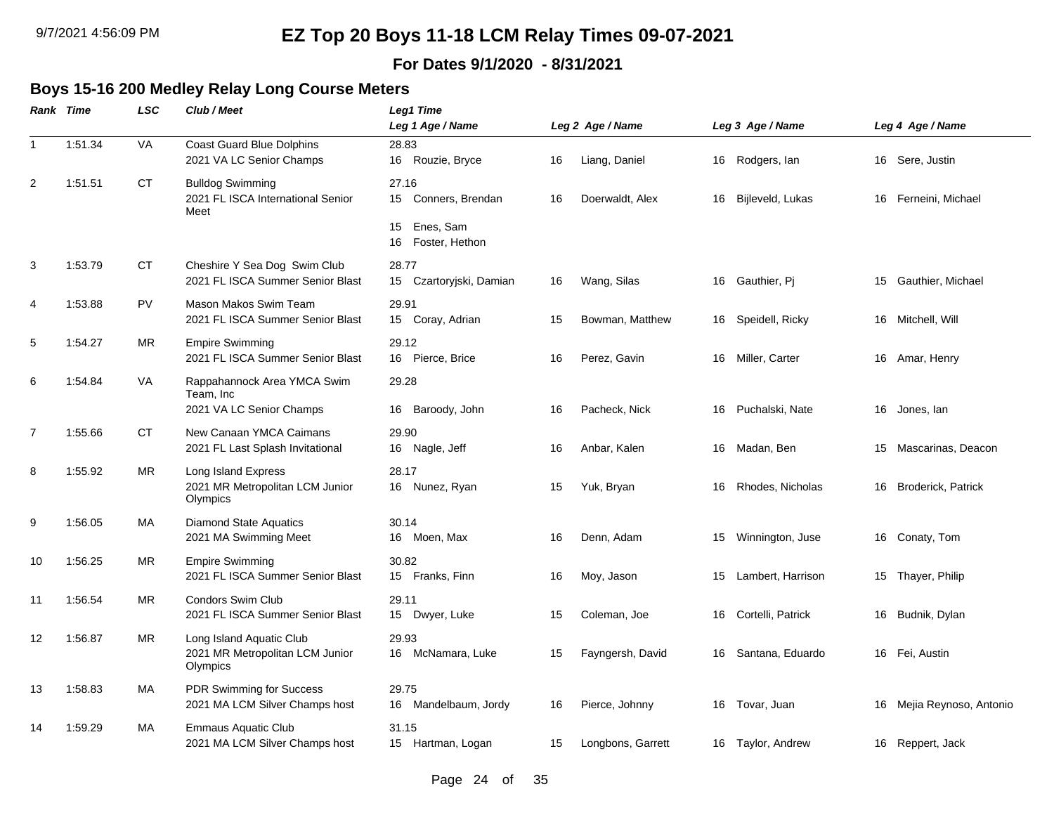#### **For Dates 9/1/2020 - 8/31/2021**

### **Boys 15-16 200 Medley Relay Long Course Meters**

|                | <b>Rank Time</b> | LSC       | Club / Meet                                                             | <b>Leg1 Time</b><br>Leg 1 Age / Name    |    | Leg 2 Age / Name  |    | Leg 3 Age / Name  |    | Leg 4 Age / Name          |
|----------------|------------------|-----------|-------------------------------------------------------------------------|-----------------------------------------|----|-------------------|----|-------------------|----|---------------------------|
| $\mathbf{1}$   | 1:51.34          | VA        | <b>Coast Guard Blue Dolphins</b><br>2021 VA LC Senior Champs            | 28.83<br>16 Rouzie, Bryce               | 16 | Liang, Daniel     | 16 | Rodgers, lan      |    | 16 Sere, Justin           |
| $\overline{2}$ | 1:51.51          | <b>CT</b> | <b>Bulldog Swimming</b><br>2021 FL ISCA International Senior<br>Meet    | 27.16<br>15<br>Conners, Brendan         | 16 | Doerwaldt, Alex   | 16 | Bijleveld, Lukas  | 16 | Ferneini, Michael         |
|                |                  |           |                                                                         | Enes, Sam<br>15<br>Foster, Hethon<br>16 |    |                   |    |                   |    |                           |
| 3              | 1:53.79          | СT        | Cheshire Y Sea Dog Swim Club<br>2021 FL ISCA Summer Senior Blast        | 28.77<br>15<br>Czartoryjski, Damian     | 16 | Wang, Silas       | 16 | Gauthier, Pj      | 15 | Gauthier, Michael         |
| 4              | 1:53.88          | <b>PV</b> | Mason Makos Swim Team<br>2021 FL ISCA Summer Senior Blast               | 29.91<br>15 Coray, Adrian               | 15 | Bowman, Matthew   | 16 | Speidell, Ricky   | 16 | Mitchell, Will            |
| 5              | 1:54.27          | <b>MR</b> | <b>Empire Swimming</b><br>2021 FL ISCA Summer Senior Blast              | 29.12<br>16 Pierce, Brice               | 16 | Perez, Gavin      | 16 | Miller, Carter    | 16 | Amar, Henry               |
| 6              | 1:54.84          | VA        | Rappahannock Area YMCA Swim<br>Team, Inc                                | 29.28                                   |    |                   |    |                   |    |                           |
|                |                  |           | 2021 VA LC Senior Champs                                                | Baroody, John<br>16                     | 16 | Pacheck, Nick     | 16 | Puchalski, Nate   | 16 | Jones, lan                |
| 7              | 1:55.66          | СT        | New Canaan YMCA Caimans<br>2021 FL Last Splash Invitational             | 29.90<br>16 Nagle, Jeff                 | 16 | Anbar, Kalen      | 16 | Madan, Ben        | 15 | Mascarinas, Deacon        |
| 8              | 1:55.92          | MR        | Long Island Express<br>2021 MR Metropolitan LCM Junior<br>Olympics      | 28.17<br>16 Nunez, Ryan                 | 15 | Yuk, Bryan        | 16 | Rhodes, Nicholas  | 16 | <b>Broderick, Patrick</b> |
| 9              | 1:56.05          | MA        | <b>Diamond State Aquatics</b><br>2021 MA Swimming Meet                  | 30.14<br>16 Moen, Max                   | 16 | Denn, Adam        | 15 | Winnington, Juse  |    | 16 Conaty, Tom            |
| 10             | 1:56.25          | <b>MR</b> | <b>Empire Swimming</b><br>2021 FL ISCA Summer Senior Blast              | 30.82<br>15 Franks, Finn                | 16 | Moy, Jason        | 15 | Lambert, Harrison | 15 | Thayer, Philip            |
| 11             | 1:56.54          | <b>MR</b> | <b>Condors Swim Club</b><br>2021 FL ISCA Summer Senior Blast            | 29.11<br>15 Dwyer, Luke                 | 15 | Coleman, Joe      | 16 | Cortelli, Patrick | 16 | Budnik, Dylan             |
| 12             | 1:56.87          | <b>MR</b> | Long Island Aquatic Club<br>2021 MR Metropolitan LCM Junior<br>Olympics | 29.93<br>McNamara, Luke<br>16           | 15 | Fayngersh, David  | 16 | Santana, Eduardo  | 16 | Fei, Austin               |
| 13             | 1:58.83          | МA        | PDR Swimming for Success<br>2021 MA LCM Silver Champs host              | 29.75<br>Mandelbaum, Jordy<br>16        | 16 | Pierce, Johnny    | 16 | Tovar, Juan       |    | 16 Mejia Reynoso, Antonio |
| 14             | 1:59.29          | MA        | <b>Emmaus Aquatic Club</b><br>2021 MA LCM Silver Champs host            | 31.15<br>15 Hartman, Logan              | 15 | Longbons, Garrett | 16 | Taylor, Andrew    |    | 16 Reppert, Jack          |
|                |                  |           |                                                                         |                                         |    |                   |    |                   |    |                           |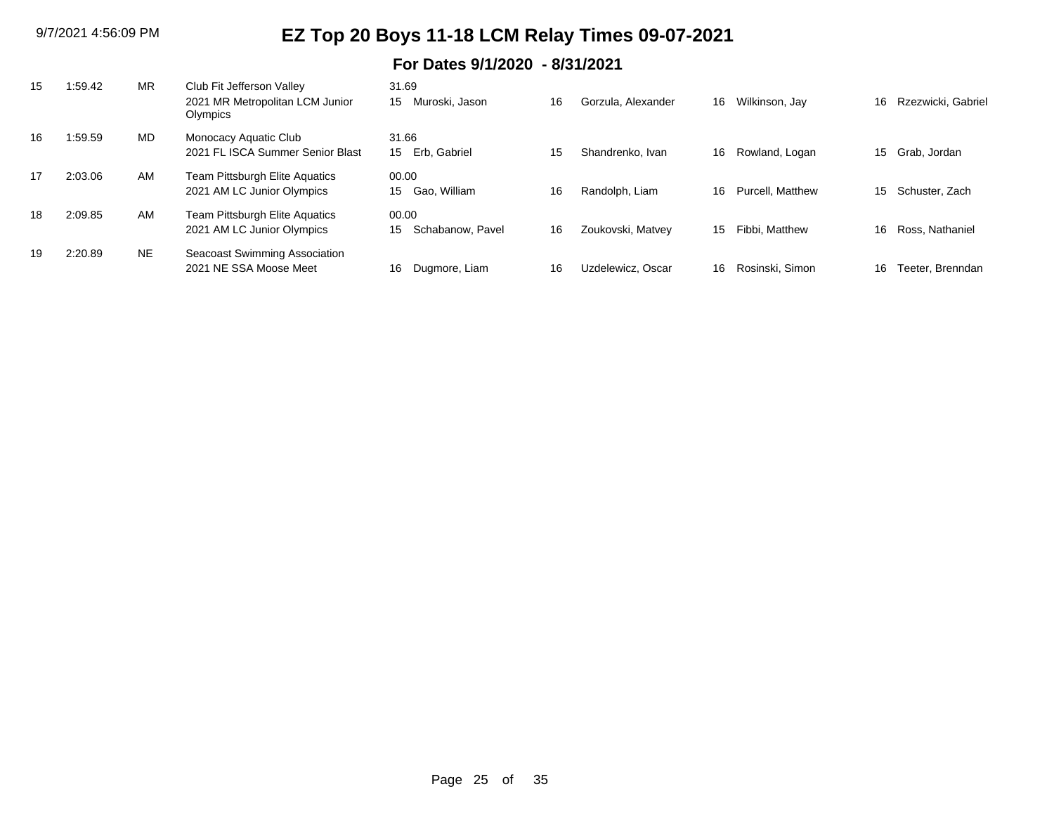| 15 | :59.42  | <b>MR</b> | Club Fit Jefferson Valley                   | 31.69                  |    |                    |    |                         |    |                    |
|----|---------|-----------|---------------------------------------------|------------------------|----|--------------------|----|-------------------------|----|--------------------|
|    |         |           | 2021 MR Metropolitan LCM Junior<br>Olympics | Muroski. Jason<br>15   | 16 | Gorzula, Alexander | 16 | Wilkinson, Jay          | 16 | Rzezwicki, Gabriel |
| 16 | :59.59  | MD        | Monocacy Aquatic Club                       | 31.66                  |    |                    |    |                         |    |                    |
|    |         |           | 2021 FL ISCA Summer Senior Blast            | Erb. Gabriel<br>15     | 15 | Shandrenko, Ivan   | 16 | Rowland, Logan          |    | 15 Grab, Jordan    |
| 17 | 2:03.06 | AM        | Team Pittsburgh Elite Aquatics              | 00.00                  |    |                    |    |                         |    |                    |
|    |         |           | 2021 AM LC Junior Olympics                  | Gao, William<br>15     | 16 | Randolph, Liam     | 16 | <b>Purcell, Matthew</b> | 15 | Schuster, Zach     |
| 18 | 2:09.85 | AM        | Team Pittsburgh Elite Aquatics              | 00.00                  |    |                    |    |                         |    |                    |
|    |         |           | 2021 AM LC Junior Olympics                  | Schabanow, Pavel<br>15 | 16 | Zoukovski, Matvey  | 15 | Fibbi, Matthew          | 16 | Ross, Nathaniel    |
| 19 | 2:20.89 | <b>NE</b> | Seacoast Swimming Association               |                        |    |                    |    |                         |    |                    |
|    |         |           | 2021 NE SSA Moose Meet                      | Dugmore, Liam<br>16    | 16 | Uzdelewicz, Oscar  | 16 | Rosinski, Simon         | 16 | Teeter. Brenndan   |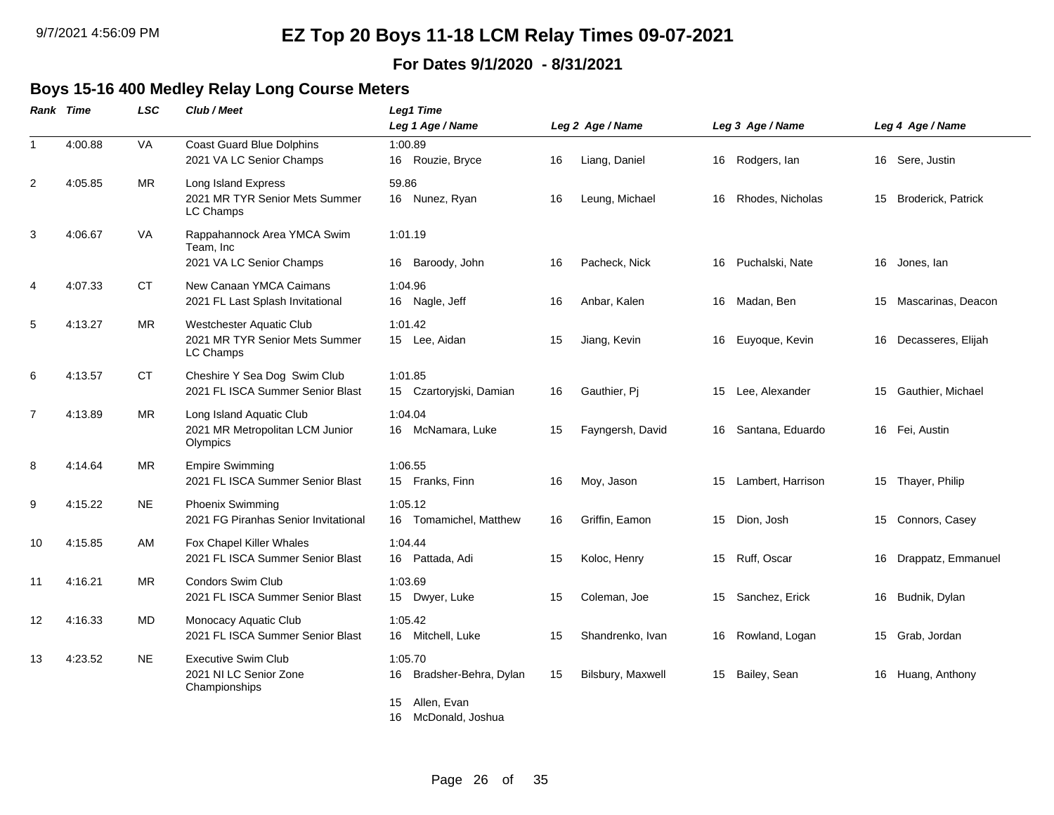#### **For Dates 9/1/2020 - 8/31/2021**

### **Boys 15-16 400 Medley Relay Long Course Meters**

|                | Rank Time | LSC       | Club / Meet                                                             | Leg1 Time<br>Leg 1 Age / Name                                                         |    | Leg 2 Age / Name  |    | Leg 3 Age / Name     | Leg 4 Age / Name      |
|----------------|-----------|-----------|-------------------------------------------------------------------------|---------------------------------------------------------------------------------------|----|-------------------|----|----------------------|-----------------------|
| $\mathbf{1}$   | 4:00.88   | VA        | <b>Coast Guard Blue Dolphins</b><br>2021 VA LC Senior Champs            | 1:00.89<br>16 Rouzie, Bryce                                                           | 16 | Liang, Daniel     |    | 16 Rodgers, lan      | 16 Sere, Justin       |
| $\overline{c}$ | 4:05.85   | <b>MR</b> | Long Island Express<br>2021 MR TYR Senior Mets Summer<br>LC Champs      | 59.86<br>16 Nunez, Ryan                                                               | 16 | Leung, Michael    |    | 16 Rhodes, Nicholas  | 15 Broderick, Patrick |
| 3              | 4:06.67   | VA        | Rappahannock Area YMCA Swim<br>Team, Inc<br>2021 VA LC Senior Champs    | 1:01.19<br>Baroody, John<br>16                                                        | 16 | Pacheck, Nick     |    | 16 Puchalski, Nate   | 16 Jones, lan         |
| 4              | 4:07.33   | СT        | New Canaan YMCA Caimans<br>2021 FL Last Splash Invitational             | 1:04.96<br>16 Nagle, Jeff                                                             | 16 | Anbar, Kalen      | 16 | Madan, Ben           | 15 Mascarinas, Deacon |
| 5              | 4:13.27   | <b>MR</b> | Westchester Aquatic Club<br>2021 MR TYR Senior Mets Summer<br>LC Champs | 1:01.42<br>15 Lee, Aidan                                                              | 15 | Jiang, Kevin      |    | 16 Euyoque, Kevin    | 16 Decasseres, Elijah |
| 6              | 4:13.57   | <b>CT</b> | Cheshire Y Sea Dog Swim Club<br>2021 FL ISCA Summer Senior Blast        | 1:01.85<br>Czartoryjski, Damian<br>15                                                 | 16 | Gauthier, Pj      | 15 | Lee, Alexander       | 15 Gauthier, Michael  |
| $\overline{7}$ | 4:13.89   | <b>MR</b> | Long Island Aquatic Club<br>2021 MR Metropolitan LCM Junior<br>Olympics | 1:04.04<br>16 McNamara, Luke                                                          | 15 | Fayngersh, David  |    | 16 Santana, Eduardo  | 16 Fei, Austin        |
| 8              | 4:14.64   | ΜR        | <b>Empire Swimming</b><br>2021 FL ISCA Summer Senior Blast              | 1:06.55<br>15 Franks, Finn                                                            | 16 | Moy, Jason        |    | 15 Lambert, Harrison | 15 Thayer, Philip     |
| 9              | 4:15.22   | <b>NE</b> | Phoenix Swimming<br>2021 FG Piranhas Senior Invitational                | 1:05.12<br>Tomamichel, Matthew<br>16                                                  | 16 | Griffin, Eamon    |    | 15 Dion, Josh        | 15 Connors, Casey     |
| 10             | 4:15.85   | AM        | Fox Chapel Killer Whales<br>2021 FL ISCA Summer Senior Blast            | 1:04.44<br>16 Pattada, Adi                                                            | 15 | Koloc, Henry      |    | 15 Ruff, Oscar       | 16 Drappatz, Emmanuel |
| 11             | 4:16.21   | MR        | <b>Condors Swim Club</b><br>2021 FL ISCA Summer Senior Blast            | 1:03.69<br>15 Dwyer, Luke                                                             | 15 | Coleman, Joe      |    | 15 Sanchez, Erick    | 16 Budnik, Dylan      |
| 12             | 4:16.33   | MD        | Monocacy Aquatic Club<br>2021 FL ISCA Summer Senior Blast               | 1:05.42<br>16 Mitchell, Luke                                                          | 15 | Shandrenko, Ivan  |    | 16 Rowland, Logan    | 15 Grab, Jordan       |
| 13             | 4:23.52   | <b>NE</b> | <b>Executive Swim Club</b><br>2021 NI LC Senior Zone<br>Championships   | 1:05.70<br>Bradsher-Behra, Dylan<br>16<br>Allen, Evan<br>15<br>16<br>McDonald, Joshua | 15 | Bilsbury, Maxwell |    | 15 Bailey, Sean      | 16 Huang, Anthony     |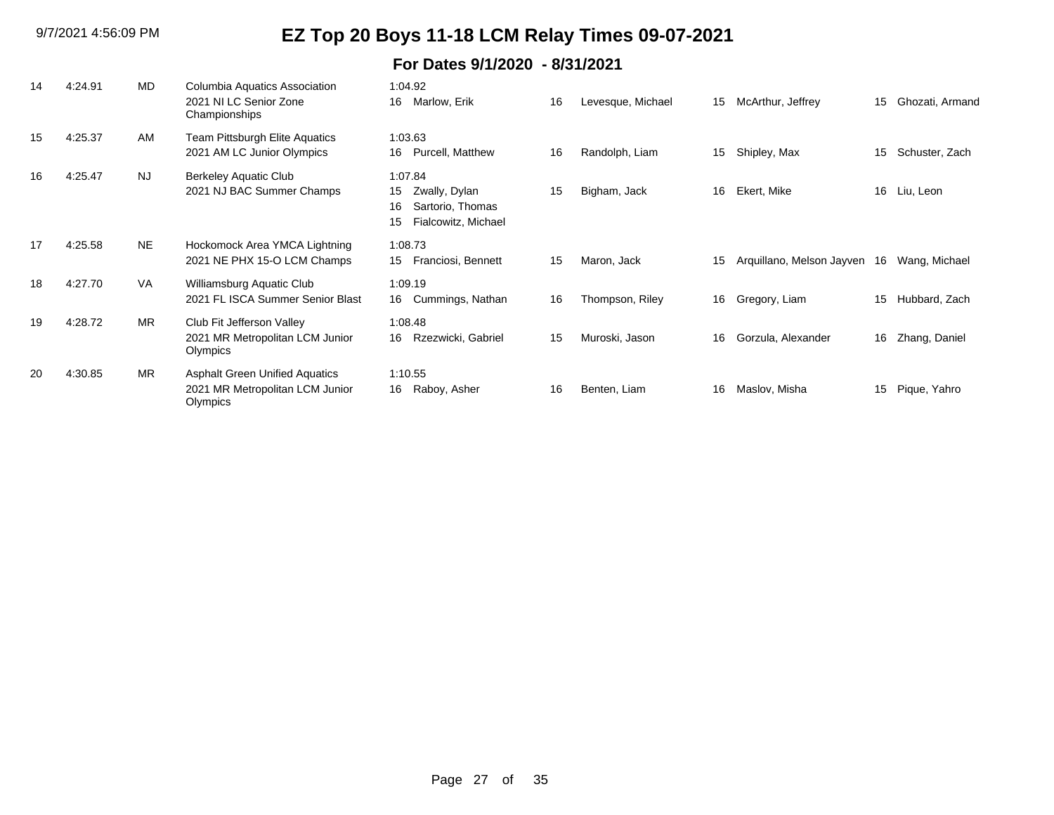| 14 | 4:24.91 | MD        | Columbia Aquatics Association<br>2021 NI LC Senior Zone<br>Championships             | 1:04.92<br>16<br>Marlow, Erik                                                         | 16 | Levesque, Michael | 15 | McArthur, Jeffrey         | 15 | Ghozati, Armand |
|----|---------|-----------|--------------------------------------------------------------------------------------|---------------------------------------------------------------------------------------|----|-------------------|----|---------------------------|----|-----------------|
| 15 | 4:25.37 | AM        | Team Pittsburgh Elite Aquatics<br>2021 AM LC Junior Olympics                         | 1:03.63<br>Purcell, Matthew<br>16                                                     | 16 | Randolph, Liam    | 15 | Shipley, Max              | 15 | Schuster, Zach  |
| 16 | 4:25.47 | <b>NJ</b> | Berkeley Aquatic Club<br>2021 NJ BAC Summer Champs                                   | 1:07.84<br>Zwally, Dylan<br>15<br>Sartorio, Thomas<br>16<br>Fialcowitz, Michael<br>15 | 15 | Bigham, Jack      | 16 | Ekert, Mike               | 16 | Liu, Leon       |
| 17 | 4:25.58 | <b>NE</b> | Hockomock Area YMCA Lightning<br>2021 NE PHX 15-O LCM Champs                         | 1:08.73<br>Franciosi, Bennett<br>15                                                   | 15 | Maron, Jack       | 15 | Arquillano, Melson Jayven | 16 | Wang, Michael   |
| 18 | 4:27.70 | <b>VA</b> | Williamsburg Aquatic Club<br>2021 FL ISCA Summer Senior Blast                        | 1:09.19<br>16 Cummings, Nathan                                                        | 16 | Thompson, Riley   | 16 | Gregory, Liam             | 15 | Hubbard, Zach   |
| 19 | 4:28.72 | <b>MR</b> | Club Fit Jefferson Valley<br>2021 MR Metropolitan LCM Junior<br>Olympics             | 1:08.48<br>Rzezwicki, Gabriel<br>16                                                   | 15 | Muroski, Jason    | 16 | Gorzula, Alexander        | 16 | Zhang, Daniel   |
| 20 | 4:30.85 | <b>MR</b> | <b>Asphalt Green Unified Aquatics</b><br>2021 MR Metropolitan LCM Junior<br>Olympics | 1:10.55<br>Raboy, Asher<br>16                                                         | 16 | Benten, Liam      | 16 | Maslov, Misha             | 15 | Pique, Yahro    |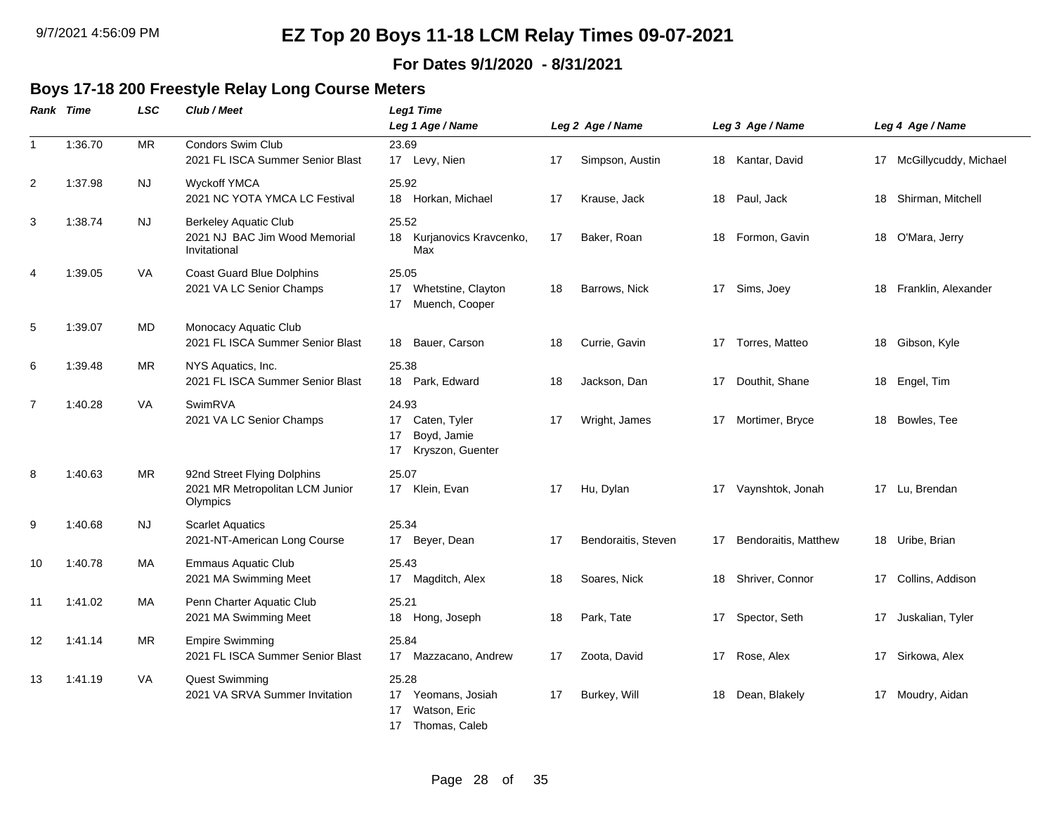#### **For Dates 9/1/2020 - 8/31/2021**

#### **Boys 17-18 200 Freestyle Relay Long Course Meters**

|                | <b>Rank Time</b> | <b>LSC</b> | Club / Meet                                                                   | <b>Leg1 Time</b>                                                            |     |                     |    |                      |    |                          |
|----------------|------------------|------------|-------------------------------------------------------------------------------|-----------------------------------------------------------------------------|-----|---------------------|----|----------------------|----|--------------------------|
|                |                  |            |                                                                               | Leg 1 Age / Name                                                            |     | Leg 2 Age / Name    |    | Leg 3 Age / Name     |    | Leg 4 Age / Name         |
| $\mathbf{1}$   | 1:36.70          | <b>MR</b>  | Condors Swim Club<br>2021 FL ISCA Summer Senior Blast                         | 23.69<br>17 Levy, Nien                                                      | 17  | Simpson, Austin     |    | 18 Kantar, David     |    | 17 McGillycuddy, Michael |
| $\overline{2}$ | 1:37.98          | <b>NJ</b>  | <b>Wyckoff YMCA</b><br>2021 NC YOTA YMCA LC Festival                          | 25.92<br>18 Horkan, Michael                                                 | 17  | Krause, Jack        | 18 | Paul, Jack           |    | 18 Shirman, Mitchell     |
| 3              | 1:38.74          | NJ.        | <b>Berkeley Aquatic Club</b><br>2021 NJ BAC Jim Wood Memorial<br>Invitational | 25.52<br>18 Kurjanovics Kravcenko,<br>Max                                   | 17  | Baker, Roan         | 18 | Formon, Gavin        | 18 | O'Mara, Jerry            |
| 4              | 1:39.05          | VA         | <b>Coast Guard Blue Dolphins</b><br>2021 VA LC Senior Champs                  | 25.05<br>17 Whetstine, Clayton<br>Muench, Cooper<br>17                      | 18  | Barrows, Nick       | 17 | Sims, Joey           | 18 | Franklin, Alexander      |
| 5              | 1:39.07          | MD.        | Monocacy Aquatic Club<br>2021 FL ISCA Summer Senior Blast                     | 18 Bauer, Carson                                                            | 18  | Currie, Gavin       | 17 | Torres, Matteo       | 18 | Gibson, Kyle             |
| 6              | 1:39.48          | <b>MR</b>  | NYS Aquatics, Inc.<br>2021 FL ISCA Summer Senior Blast                        | 25.38<br>18 Park, Edward                                                    | 18  | Jackson, Dan        | 17 | Douthit, Shane       |    | 18 Engel, Tim            |
| $\overline{7}$ | 1:40.28          | <b>VA</b>  | SwimRVA<br>2021 VA LC Senior Champs                                           | 24.93<br>17 Caten, Tyler<br>Boyd, Jamie<br>17<br>17 Kryszon, Guenter        | 17  | Wright, James       | 17 | Mortimer, Bryce      | 18 | Bowles, Tee              |
| 8              | 1:40.63          | <b>MR</b>  | 92nd Street Flying Dolphins<br>2021 MR Metropolitan LCM Junior<br>Olympics    | 25.07<br>17 Klein, Evan                                                     | 17  | Hu, Dylan           | 17 | Vaynshtok, Jonah     | 17 | Lu, Brendan              |
| 9              | 1:40.68          | <b>NJ</b>  | <b>Scarlet Aquatics</b><br>2021-NT-American Long Course                       | 25.34<br>17 Beyer, Dean                                                     | 17  | Bendoraitis, Steven | 17 | Bendoraitis, Matthew | 18 | Uribe, Brian             |
| 10             | 1:40.78          | МA         | <b>Emmaus Aquatic Club</b><br>2021 MA Swimming Meet                           | 25.43<br>17 Magditch, Alex                                                  | 18  | Soares, Nick        | 18 | Shriver, Connor      | 17 | Collins, Addison         |
| 11             | 1:41.02          | MA         | Penn Charter Aquatic Club<br>2021 MA Swimming Meet                            | 25.21<br>18 Hong, Joseph                                                    | 18  | Park, Tate          | 17 | Spector, Seth        |    | 17 Juskalian, Tyler      |
| 12             | 1:41.14          | MR.        | <b>Empire Swimming</b><br>2021 FL ISCA Summer Senior Blast                    | 25.84<br>Mazzacano, Andrew<br>17                                            | -17 | Zoota, David        | 17 | Rose, Alex           | 17 | Sirkowa, Alex            |
| 13             | 1:41.19          | <b>VA</b>  | <b>Quest Swimming</b><br>2021 VA SRVA Summer Invitation                       | 25.28<br>Yeomans, Josiah<br>17<br>Watson, Eric<br>17<br>17<br>Thomas, Caleb | 17  | Burkey, Will        | 18 | Dean, Blakely        |    | 17 Moudry, Aidan         |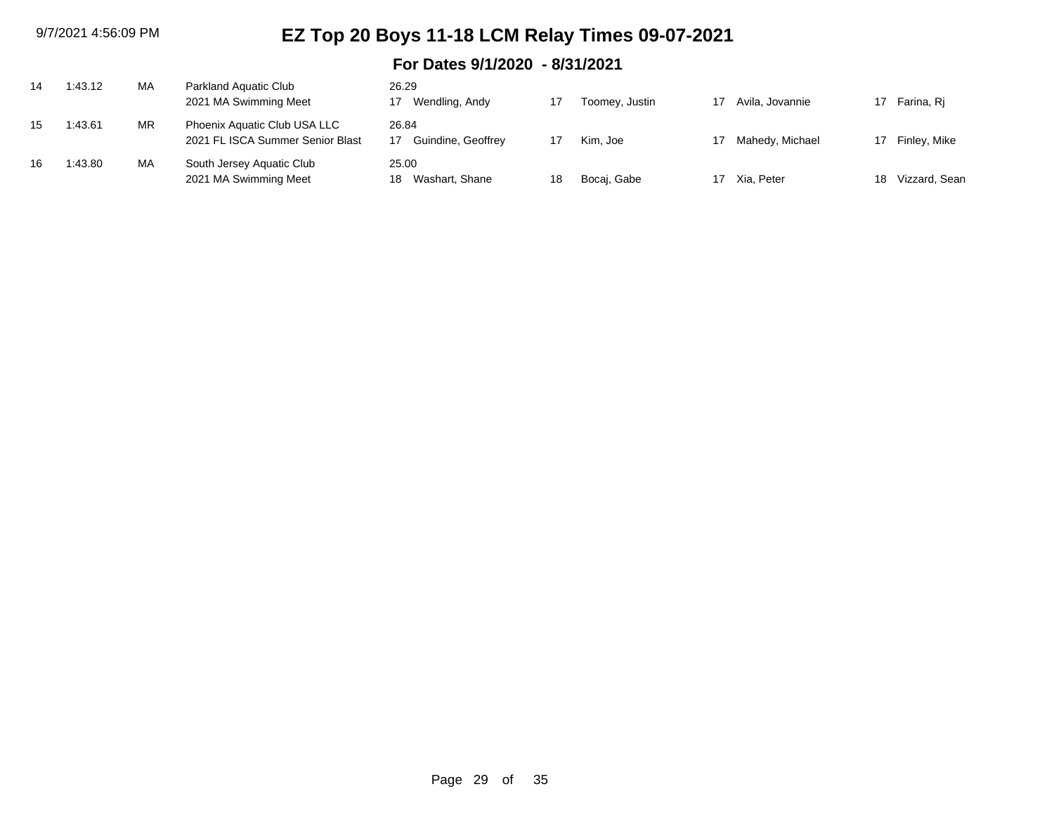| 14 | 1:43.12 | MA | Parkland Aquatic Club<br>2021 MA Swimming Meet                   | 26.29<br>Wendling, Andy       |    | Toomey, Justin | 17 | Avila, Jovannie |    | Farina, Ri      |
|----|---------|----|------------------------------------------------------------------|-------------------------------|----|----------------|----|-----------------|----|-----------------|
|    |         |    |                                                                  |                               |    |                |    |                 |    |                 |
| 15 | 1:43.61 | MR | Phoenix Aquatic Club USA LLC<br>2021 FL ISCA Summer Senior Blast | 26.84<br>Guindine, Geoffrey   |    | Kim. Joe       | 17 | Mahedy, Michael |    | 17 Finley, Mike |
| 16 | 1:43.80 | MA | South Jersey Aquatic Club<br>2021 MA Swimming Meet               | 25.00<br>Washart, Shane<br>18 | 18 | Bocai, Gabe    |    | 17 Xia, Peter   | 18 | Vizzard, Sean   |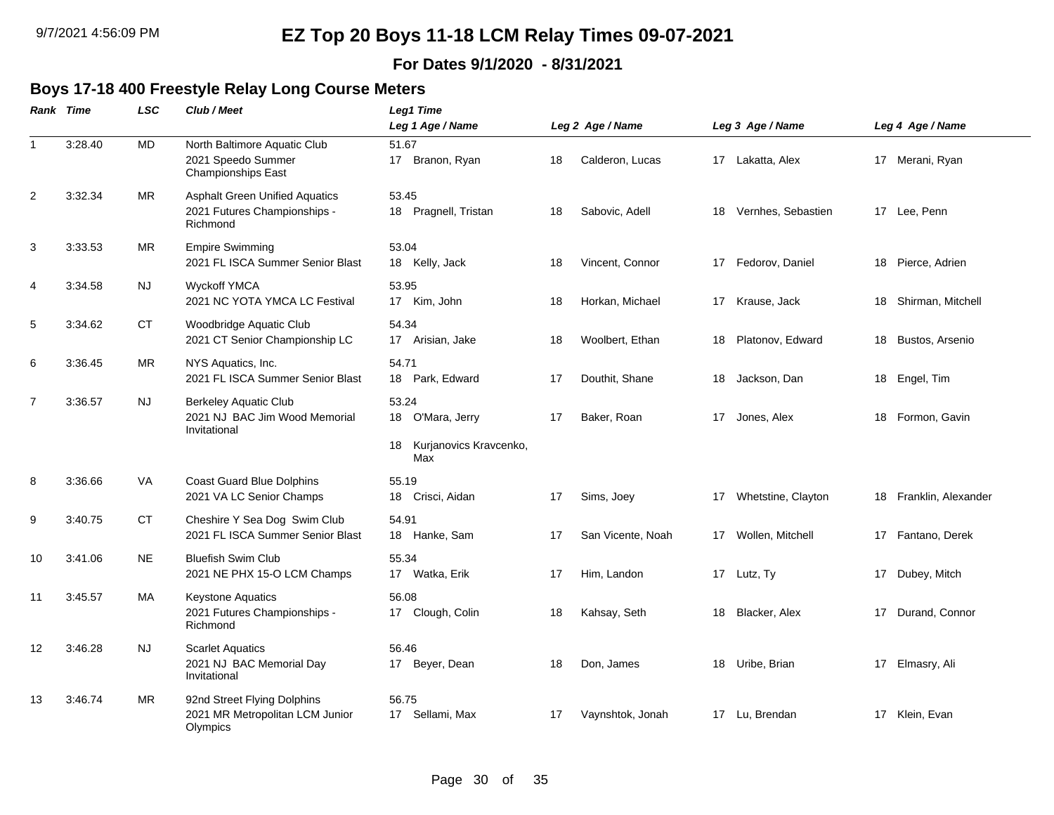#### **For Dates 9/1/2020 - 8/31/2021**

#### **Boys 17-18 400 Freestyle Relay Long Course Meters**

|                | Rank Time | <b>LSC</b> | Club / Meet                                                                       | Leg1 Time                                                        |    |                   |    |                       |    |                        |
|----------------|-----------|------------|-----------------------------------------------------------------------------------|------------------------------------------------------------------|----|-------------------|----|-----------------------|----|------------------------|
|                |           |            |                                                                                   | Leg 1 Age / Name                                                 |    | Leg 2 Age / Name  |    | Leg 3 Age / Name      |    | Leg 4 Age / Name       |
| $\overline{1}$ | 3:28.40   | <b>MD</b>  | North Baltimore Aquatic Club<br>2021 Speedo Summer<br>Championships East          | 51.67<br>17 Branon, Ryan                                         | 18 | Calderon, Lucas   |    | 17 Lakatta, Alex      |    | 17 Merani, Ryan        |
| 2              | 3:32.34   | <b>MR</b>  | <b>Asphalt Green Unified Aquatics</b><br>2021 Futures Championships -<br>Richmond | 53.45<br>18 Pragnell, Tristan                                    | 18 | Sabovic, Adell    | 18 | Vernhes, Sebastien    |    | 17 Lee, Penn           |
| $\mathbf{3}$   | 3:33.53   | MR         | <b>Empire Swimming</b><br>2021 FL ISCA Summer Senior Blast                        | 53.04<br>18 Kelly, Jack                                          | 18 | Vincent, Connor   | 17 | Fedorov, Daniel       | 18 | Pierce, Adrien         |
| $\overline{4}$ | 3:34.58   | NJ.        | <b>Wyckoff YMCA</b><br>2021 NC YOTA YMCA LC Festival                              | 53.95<br>17 Kim, John                                            | 18 | Horkan, Michael   |    | 17 Krause, Jack       |    | 18 Shirman, Mitchell   |
| 5              | 3:34.62   | СT         | Woodbridge Aquatic Club<br>2021 CT Senior Championship LC                         | 54.34<br>17 Arisian, Jake                                        | 18 | Woolbert. Ethan   | 18 | Platonov, Edward      |    | 18 Bustos, Arsenio     |
| 6              | 3:36.45   | MR         | NYS Aquatics, Inc.<br>2021 FL ISCA Summer Senior Blast                            | 54.71<br>18 Park, Edward                                         | 17 | Douthit, Shane    |    | 18 Jackson, Dan       |    | 18 Engel, Tim          |
| $\overline{7}$ | 3:36.57   | <b>NJ</b>  | <b>Berkeley Aquatic Club</b><br>2021 NJ BAC Jim Wood Memorial<br>Invitational     | 53.24<br>18 O'Mara, Jerry<br>Kurjanovics Kravcenko,<br>18<br>Max | 17 | Baker, Roan       |    | 17 Jones, Alex        |    | 18 Formon, Gavin       |
| 8              | 3:36.66   | VA         | <b>Coast Guard Blue Dolphins</b><br>2021 VA LC Senior Champs                      | 55.19<br>18 Crisci, Aidan                                        | 17 | Sims, Joey        |    | 17 Whetstine, Clayton |    | 18 Franklin, Alexander |
| 9              | 3:40.75   | <b>CT</b>  | Cheshire Y Sea Dog Swim Club<br>2021 FL ISCA Summer Senior Blast                  | 54.91<br>18 Hanke, Sam                                           | 17 | San Vicente, Noah |    | 17 Wollen, Mitchell   |    | 17 Fantano, Derek      |
| 10             | 3:41.06   | NE.        | <b>Bluefish Swim Club</b><br>2021 NE PHX 15-O LCM Champs                          | 55.34<br>17 Watka, Erik                                          | 17 | Him, Landon       |    | 17 Lutz, Ty           | 17 | Dubey, Mitch           |
| 11             | 3:45.57   | MA         | <b>Keystone Aquatics</b><br>2021 Futures Championships -<br>Richmond              | 56.08<br>17 Clough, Colin                                        | 18 | Kahsay, Seth      |    | 18 Blacker, Alex      | 17 | Durand, Connor         |
| 12             | 3:46.28   | NJ.        | <b>Scarlet Aquatics</b><br>2021 NJ BAC Memorial Day<br>Invitational               | 56.46<br>17 Beyer, Dean                                          | 18 | Don, James        |    | 18 Uribe, Brian       |    | 17 Elmasry, Ali        |
| 13             | 3:46.74   | <b>MR</b>  | 92nd Street Flying Dolphins<br>2021 MR Metropolitan LCM Junior<br>Olympics        | 56.75<br>17 Sellami, Max                                         | 17 | Vaynshtok, Jonah  |    | 17 Lu, Brendan        |    | 17 Klein, Evan         |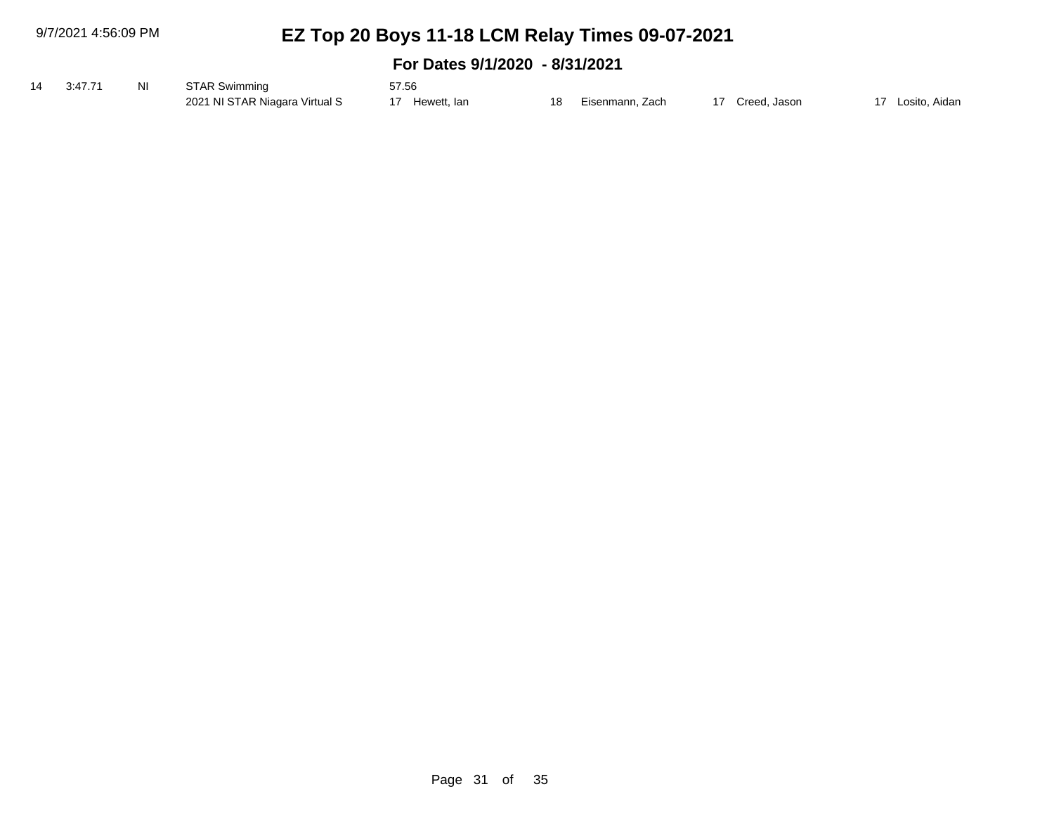9/7/2021 4:56:09 PM

# **EZ Top 20 Boys 11-18 LCM Relay Times 09-07-2021**

| 14 3:47.71 | NI | STAR Swimming                  | 57.56       |    |                 |              |               |
|------------|----|--------------------------------|-------------|----|-----------------|--------------|---------------|
|            |    | 2021 NI STAR Niagara Virtual S | Hewett, lan | 18 | Eisenmann. Zach | Creed, Jason | Losito, Aidan |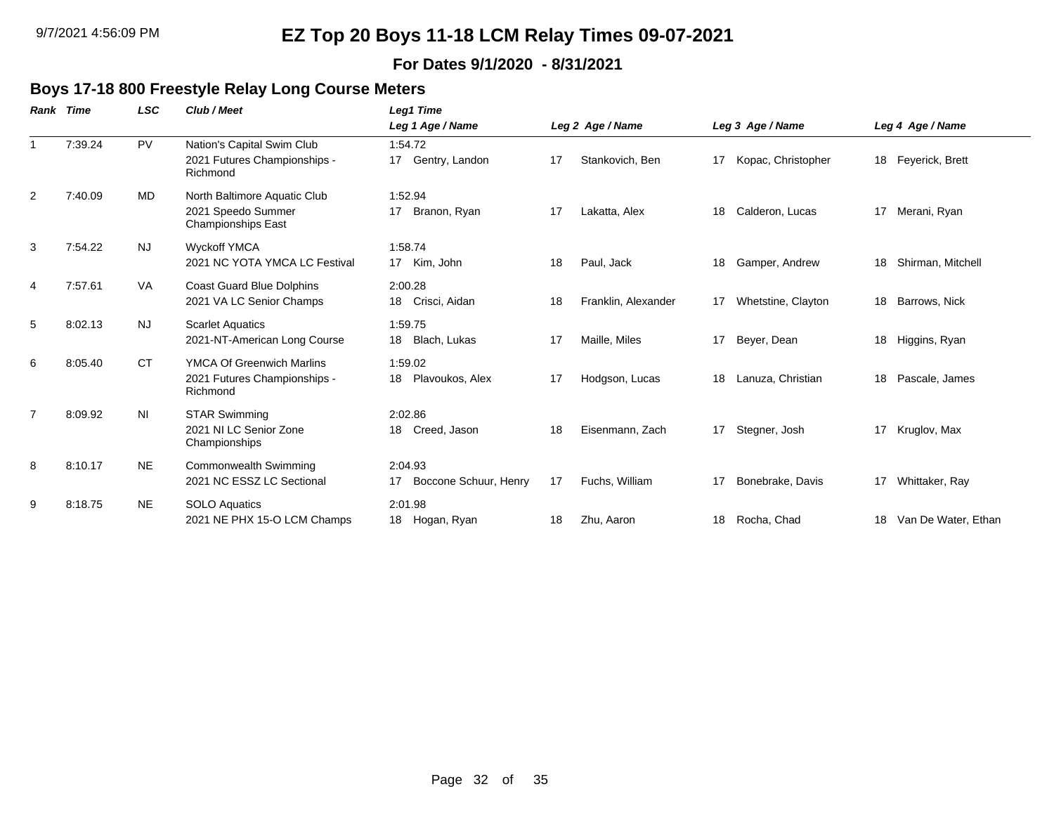#### **For Dates 9/1/2020 - 8/31/2021**

#### **Boys 17-18 800 Freestyle Relay Long Course Meters**

| Rank           | <b>Time</b> | <b>LSC</b>     | Club / Meet                                                                     | Leg1 Time                                    |                  |                     |                  |                    |    |                     |
|----------------|-------------|----------------|---------------------------------------------------------------------------------|----------------------------------------------|------------------|---------------------|------------------|--------------------|----|---------------------|
|                |             |                |                                                                                 | Leg 1 Age / Name                             | Leg 2 Age / Name |                     | Leg 3 Age / Name |                    |    | Leg 4 Age / Name    |
| $\mathbf 1$    | 7:39.24     | <b>PV</b>      | Nation's Capital Swim Club<br>2021 Futures Championships -<br>Richmond          | 1:54.72<br>Gentry, Landon<br>17 <sup>2</sup> | 17               | Stankovich, Ben     | 17               | Kopac, Christopher |    | 18 Feyerick, Brett  |
| 2              | 7:40.09     | MD             | North Baltimore Aquatic Club<br>2021 Speedo Summer<br><b>Championships East</b> | 1:52.94<br>17<br>Branon, Ryan                | 17               | Lakatta, Alex       | 18               | Calderon, Lucas    | 17 | Merani, Ryan        |
| 3              | 7:54.22     | <b>NJ</b>      | <b>Wyckoff YMCA</b><br>2021 NC YOTA YMCA LC Festival                            | 1:58.74<br>Kim, John<br>17                   | 18               | Paul, Jack          | 18               | Gamper, Andrew     | 18 | Shirman, Mitchell   |
| 4              | 7:57.61     | <b>VA</b>      | <b>Coast Guard Blue Dolphins</b><br>2021 VA LC Senior Champs                    | 2:00.28<br>Crisci, Aidan<br>18               | 18               | Franklin, Alexander | 17               | Whetstine, Clayton | 18 | Barrows, Nick       |
| 5              | 8:02.13     | <b>NJ</b>      | <b>Scarlet Aquatics</b><br>2021-NT-American Long Course                         | 1:59.75<br>Blach, Lukas<br>18                | 17               | Maille, Miles       | 17               | Beyer, Dean        | 18 | Higgins, Ryan       |
| 6              | 8:05.40     | <b>CT</b>      | <b>YMCA Of Greenwich Marlins</b><br>2021 Futures Championships -<br>Richmond    | 1:59.02<br>Plavoukos, Alex<br>18             | 17               | Hodgson, Lucas      | 18               | Lanuza, Christian  | 18 | Pascale, James      |
| $\overline{7}$ | 8:09.92     | N <sub>l</sub> | <b>STAR Swimming</b><br>2021 NI LC Senior Zone<br>Championships                 | 2:02.86<br>Creed, Jason<br>18                | 18               | Eisenmann, Zach     | 17               | Stegner, Josh      | 17 | Kruglov, Max        |
| 8              | 8:10.17     | <b>NE</b>      | <b>Commonwealth Swimming</b><br>2021 NC ESSZ LC Sectional                       | 2:04.93<br>Boccone Schuur, Henry             | 17               | Fuchs, William      | 17               | Bonebrake, Davis   | 17 | Whittaker, Ray      |
| 9              | 8:18.75     | <b>NE</b>      | <b>SOLO Aquatics</b><br>2021 NE PHX 15-O LCM Champs                             | 2:01.98<br>18<br>Hogan, Ryan                 | 18               | Zhu, Aaron          | 18               | Rocha, Chad        | 18 | Van De Water, Ethan |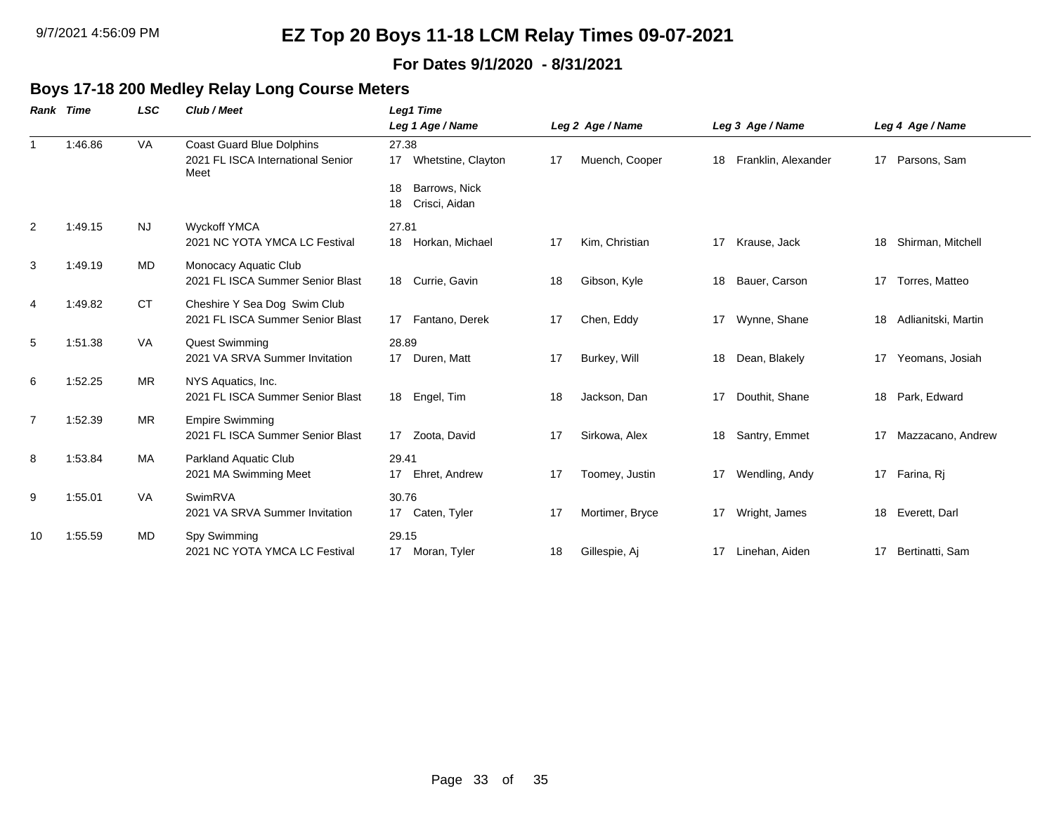#### **For Dates 9/1/2020 - 8/31/2021**

 $\overline{\phantom{0}}$ 

#### **Boys 17-18 200 Medley Relay Long Course Meters**

| Rank           | Time    | <b>LSC</b> | Club / Meet                                                                   | Leg1 Time                                                                    |    |                  |    |                     |    |                     |
|----------------|---------|------------|-------------------------------------------------------------------------------|------------------------------------------------------------------------------|----|------------------|----|---------------------|----|---------------------|
|                |         |            |                                                                               | Leg 1 Age / Name                                                             |    | Leg 2 Age / Name |    | Leg 3 Age / Name    |    | Leg 4 Age / Name    |
| $\mathbf{1}$   | 1:46.86 | <b>VA</b>  | <b>Coast Guard Blue Dolphins</b><br>2021 FL ISCA International Senior<br>Meet | 27.38<br>17 Whetstine, Clayton<br>Barrows, Nick<br>18<br>Crisci, Aidan<br>18 | 17 | Muench, Cooper   | 18 | Franklin, Alexander | 17 | Parsons, Sam        |
| $\overline{2}$ | 1:49.15 | <b>NJ</b>  | <b>Wyckoff YMCA</b><br>2021 NC YOTA YMCA LC Festival                          | 27.81<br>Horkan, Michael<br>18                                               | 17 | Kim, Christian   | 17 | Krause, Jack        | 18 | Shirman, Mitchell   |
| 3              | 1:49.19 | MD         | Monocacy Aquatic Club<br>2021 FL ISCA Summer Senior Blast                     | 18 Currie, Gavin                                                             | 18 | Gibson, Kyle     | 18 | Bauer, Carson       | 17 | Torres, Matteo      |
| 4              | 1:49.82 | <b>CT</b>  | Cheshire Y Sea Dog Swim Club<br>2021 FL ISCA Summer Senior Blast              | 17 Fantano, Derek                                                            | 17 | Chen, Eddy       | 17 | Wynne, Shane        | 18 | Adlianitski, Martin |
| 5              | 1:51.38 | VA         | <b>Quest Swimming</b><br>2021 VA SRVA Summer Invitation                       | 28.89<br>17 Duren, Matt                                                      | 17 | Burkey, Will     | 18 | Dean, Blakely       | 17 | Yeomans, Josiah     |
| 6              | 1:52.25 | MR         | NYS Aquatics, Inc.<br>2021 FL ISCA Summer Senior Blast                        | 18 Engel, Tim                                                                | 18 | Jackson, Dan     | 17 | Douthit, Shane      |    | 18 Park, Edward     |
| $\overline{7}$ | 1:52.39 | MR         | <b>Empire Swimming</b><br>2021 FL ISCA Summer Senior Blast                    | 17 Zoota, David                                                              | 17 | Sirkowa, Alex    | 18 | Santry, Emmet       | 17 | Mazzacano, Andrew   |
| 8              | 1:53.84 | МA         | Parkland Aquatic Club<br>2021 MA Swimming Meet                                | 29.41<br>Ehret, Andrew<br>17                                                 | 17 | Toomey, Justin   | 17 | Wendling, Andy      |    | 17 Farina, Ri       |
| 9              | 1:55.01 | <b>VA</b>  | SwimRVA<br>2021 VA SRVA Summer Invitation                                     | 30.76<br>17 Caten, Tyler                                                     | 17 | Mortimer, Bryce  | 17 | Wright, James       |    | 18 Everett, Darl    |
| 10             | 1:55.59 | MD         | Spy Swimming<br>2021 NC YOTA YMCA LC Festival                                 | 29.15<br>17 Moran, Tyler                                                     | 18 | Gillespie, Aj    | 17 | Linehan, Aiden      | 17 | Bertinatti, Sam     |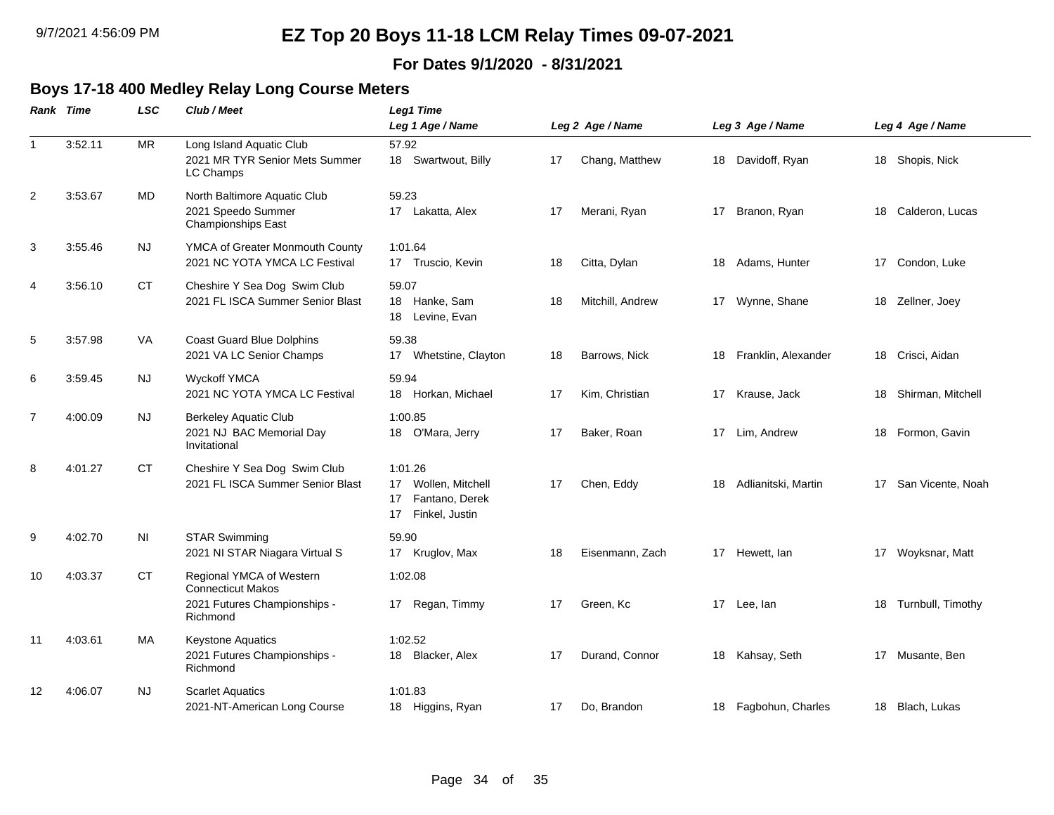#### **For Dates 9/1/2020 - 8/31/2021**

### **Boys 17-18 400 Medley Relay Long Course Meters**

|                | Rank Time | <b>LSC</b>     | Club / Meet                                                                                      | Leg1 Time                                                                         |    |                  |    |                     |                      |
|----------------|-----------|----------------|--------------------------------------------------------------------------------------------------|-----------------------------------------------------------------------------------|----|------------------|----|---------------------|----------------------|
|                |           |                |                                                                                                  | Leg 1 Age / Name                                                                  |    | Leg 2 Age / Name |    | Leg 3 Age / Name    | Leg 4 Age / Name     |
| $\mathbf{1}$   | 3:52.11   | <b>MR</b>      | Long Island Aquatic Club<br>2021 MR TYR Senior Mets Summer<br>LC Champs                          | 57.92<br>18 Swartwout, Billy                                                      | 17 | Chang, Matthew   | 18 | Davidoff, Ryan      | 18 Shopis, Nick      |
| 2              | 3:53.67   | <b>MD</b>      | North Baltimore Aquatic Club<br>2021 Speedo Summer<br><b>Championships East</b>                  | 59.23<br>17 Lakatta, Alex                                                         | 17 | Merani, Ryan     | 17 | Branon, Ryan        | 18 Calderon, Lucas   |
| 3              | 3:55.46   | NJ             | YMCA of Greater Monmouth County<br>2021 NC YOTA YMCA LC Festival                                 | 1:01.64<br>17 Truscio, Kevin                                                      | 18 | Citta, Dylan     |    | 18 Adams, Hunter    | 17 Condon, Luke      |
| 4              | 3:56.10   | <b>CT</b>      | Cheshire Y Sea Dog Swim Club<br>2021 FL ISCA Summer Senior Blast                                 | 59.07<br>18 Hanke, Sam<br>Levine, Evan<br>18                                      | 18 | Mitchill, Andrew |    | 17 Wynne, Shane     | 18 Zellner, Joey     |
| 5              | 3:57.98   | VA             | <b>Coast Guard Blue Dolphins</b><br>2021 VA LC Senior Champs                                     | 59.38<br>Whetstine, Clayton<br>17                                                 | 18 | Barrows, Nick    | 18 | Franklin, Alexander | 18 Crisci, Aidan     |
| 6              | 3:59.45   | NJ             | <b>Wyckoff YMCA</b><br>2021 NC YOTA YMCA LC Festival                                             | 59.94<br>18 Horkan, Michael                                                       | 17 | Kim, Christian   |    | 17 Krause, Jack     | 18 Shirman, Mitchell |
| $\overline{7}$ | 4:00.09   | NJ.            | <b>Berkeley Aquatic Club</b><br>2021 NJ BAC Memorial Day<br>Invitational                         | 1:00.85<br>18 O'Mara, Jerry                                                       | 17 | Baker, Roan      | 17 | Lim, Andrew         | 18 Formon, Gavin     |
| 8              | 4:01.27   | <b>CT</b>      | Cheshire Y Sea Dog Swim Club<br>2021 FL ISCA Summer Senior Blast                                 | 1:01.26<br>Wollen, Mitchell<br>17<br>Fantano, Derek<br>17<br>17<br>Finkel, Justin | 17 | Chen, Eddy       | 18 | Adlianitski, Martin | 17 San Vicente, Noah |
| 9              | 4:02.70   | N <sub>1</sub> | <b>STAR Swimming</b><br>2021 NI STAR Niagara Virtual S                                           | 59.90<br>17 Kruglov, Max                                                          | 18 | Eisenmann, Zach  |    | 17 Hewett, lan      | 17 Woyksnar, Matt    |
| 10             | 4:03.37   | <b>CT</b>      | Regional YMCA of Western<br><b>Connecticut Makos</b><br>2021 Futures Championships -<br>Richmond | 1:02.08<br>Regan, Timmy<br>17                                                     | 17 | Green, Kc        |    | 17 Lee, lan         | 18 Turnbull, Timothy |
| 11             | 4:03.61   | МA             | Keystone Aquatics<br>2021 Futures Championships -<br>Richmond                                    | 1:02.52<br>Blacker, Alex<br>18                                                    | 17 | Durand, Connor   |    | 18 Kahsay, Seth     | 17 Musante, Ben      |
| 12             | 4:06.07   | NJ             | <b>Scarlet Aquatics</b><br>2021-NT-American Long Course                                          | 1:01.83<br>18 Higgins, Ryan                                                       | 17 | Do, Brandon      | 18 | Fagbohun, Charles   | 18 Blach, Lukas      |